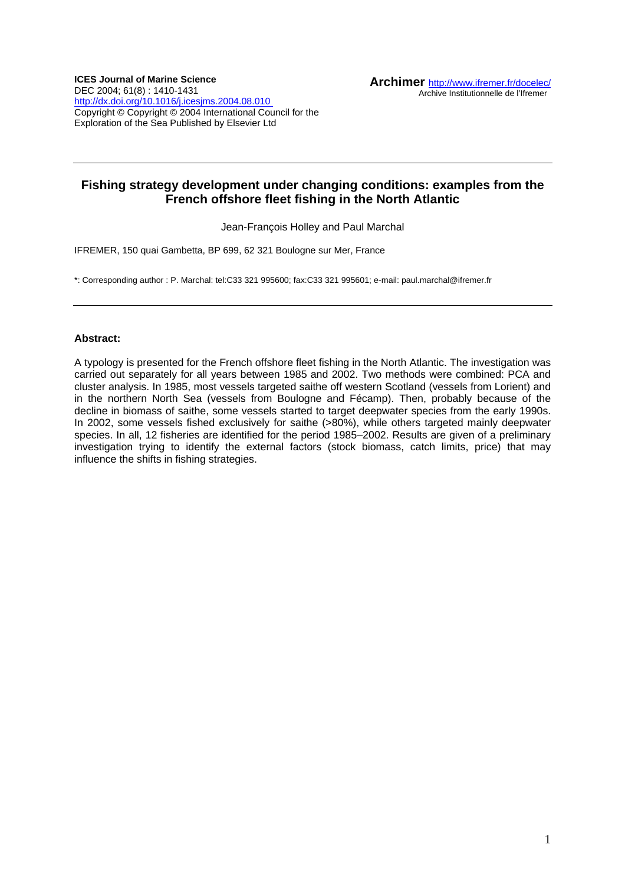# **Fishing strategy development under changing conditions: examples from the French offshore fleet fishing in the North Atlantic**

Jean-François Holley and Paul Marchal

IFREMER, 150 quai Gambetta, BP 699, 62 321 Boulogne sur Mer, France

\*: Corresponding author : P. Marchal: tel:C33 321 995600; fax:C33 321 995601; e-mail: paul.marchal@ifremer.fr

## **Abstract:**

A typology is presented for the French offshore fleet fishing in the North Atlantic. The investigation was carried out separately for all years between 1985 and 2002. Two methods were combined: PCA and cluster analysis. In 1985, most vessels targeted saithe off western Scotland (vessels from Lorient) and in the northern North Sea (vessels from Boulogne and Fécamp). Then, probably because of the decline in biomass of saithe, some vessels started to target deepwater species from the early 1990s. In 2002, some vessels fished exclusively for saithe (>80%), while others targeted mainly deepwater species. In all, 12 fisheries are identified for the period 1985–2002. Results are given of a preliminary investigation trying to identify the external factors (stock biomass, catch limits, price) that may influence the shifts in fishing strategies.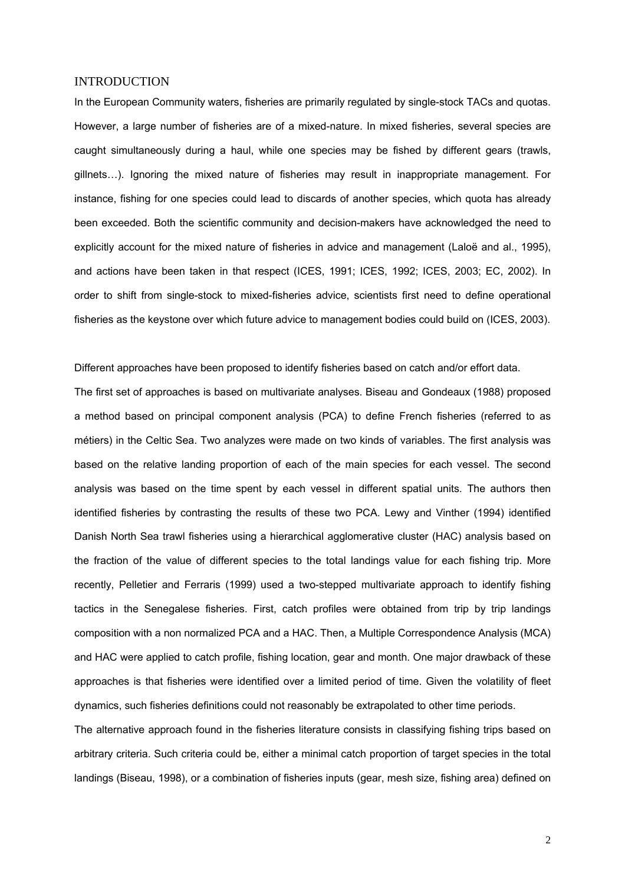## **INTRODUCTION**

In the European Community waters, fisheries are primarily regulated by single-stock TACs and quotas. However, a large number of fisheries are of a mixed-nature. In mixed fisheries, several species are caught simultaneously during a haul, while one species may be fished by different gears (trawls, gillnets…). Ignoring the mixed nature of fisheries may result in inappropriate management. For instance, fishing for one species could lead to discards of another species, which quota has already been exceeded. Both the scientific community and decision-makers have acknowledged the need to explicitly account for the mixed nature of fisheries in advice and management (Laloë and al., 1995), and actions have been taken in that respect (ICES, 1991; ICES, 1992; ICES, 2003; EC, 2002). In order to shift from single-stock to mixed-fisheries advice, scientists first need to define operational fisheries as the keystone over which future advice to management bodies could build on (ICES, 2003).

Different approaches have been proposed to identify fisheries based on catch and/or effort data.

The first set of approaches is based on multivariate analyses. Biseau and Gondeaux (1988) proposed a method based on principal component analysis (PCA) to define French fisheries (referred to as métiers) in the Celtic Sea. Two analyzes were made on two kinds of variables. The first analysis was based on the relative landing proportion of each of the main species for each vessel. The second analysis was based on the time spent by each vessel in different spatial units. The authors then identified fisheries by contrasting the results of these two PCA. Lewy and Vinther (1994) identified Danish North Sea trawl fisheries using a hierarchical agglomerative cluster (HAC) analysis based on the fraction of the value of different species to the total landings value for each fishing trip. More recently, Pelletier and Ferraris (1999) used a two-stepped multivariate approach to identify fishing tactics in the Senegalese fisheries. First, catch profiles were obtained from trip by trip landings composition with a non normalized PCA and a HAC. Then, a Multiple Correspondence Analysis (MCA) and HAC were applied to catch profile, fishing location, gear and month. One major drawback of these approaches is that fisheries were identified over a limited period of time. Given the volatility of fleet dynamics, such fisheries definitions could not reasonably be extrapolated to other time periods.

The alternative approach found in the fisheries literature consists in classifying fishing trips based on arbitrary criteria. Such criteria could be, either a minimal catch proportion of target species in the total landings (Biseau, 1998), or a combination of fisheries inputs (gear, mesh size, fishing area) defined on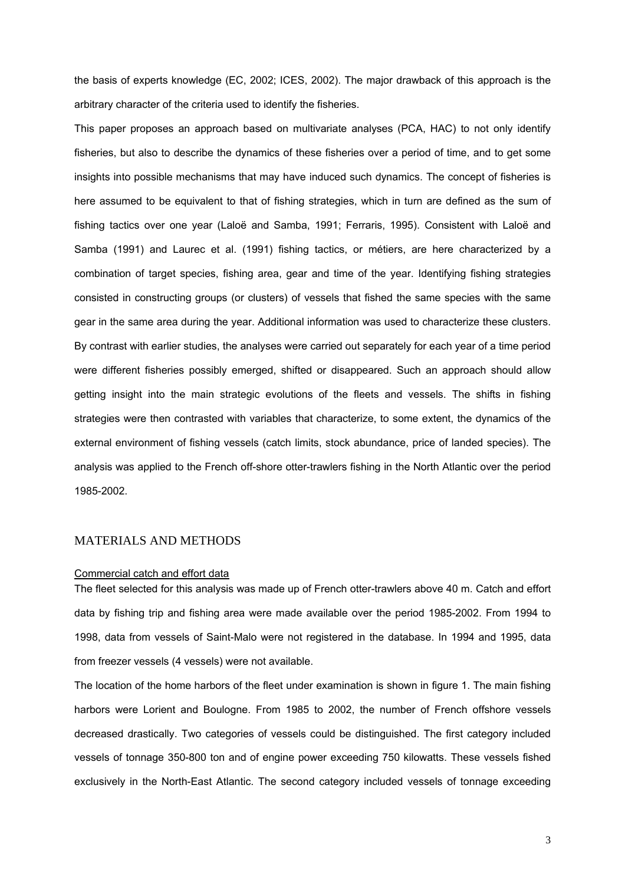the basis of experts knowledge (EC, 2002; ICES, 2002). The major drawback of this approach is the arbitrary character of the criteria used to identify the fisheries.

This paper proposes an approach based on multivariate analyses (PCA, HAC) to not only identify fisheries, but also to describe the dynamics of these fisheries over a period of time, and to get some insights into possible mechanisms that may have induced such dynamics. The concept of fisheries is here assumed to be equivalent to that of fishing strategies, which in turn are defined as the sum of fishing tactics over one year (Laloë and Samba, 1991; Ferraris, 1995). Consistent with Laloë and Samba (1991) and Laurec et al. (1991) fishing tactics, or métiers, are here characterized by a combination of target species, fishing area, gear and time of the year. Identifying fishing strategies consisted in constructing groups (or clusters) of vessels that fished the same species with the same gear in the same area during the year. Additional information was used to characterize these clusters. By contrast with earlier studies, the analyses were carried out separately for each year of a time period were different fisheries possibly emerged, shifted or disappeared. Such an approach should allow getting insight into the main strategic evolutions of the fleets and vessels. The shifts in fishing strategies were then contrasted with variables that characterize, to some extent, the dynamics of the external environment of fishing vessels (catch limits, stock abundance, price of landed species). The analysis was applied to the French off-shore otter-trawlers fishing in the North Atlantic over the period 1985-2002.

## MATERIALS AND METHODS

#### Commercial catch and effort data

The fleet selected for this analysis was made up of French otter-trawlers above 40 m. Catch and effort data by fishing trip and fishing area were made available over the period 1985-2002. From 1994 to 1998, data from vessels of Saint-Malo were not registered in the database. In 1994 and 1995, data from freezer vessels (4 vessels) were not available.

The location of the home harbors of the fleet under examination is shown in figure 1. The main fishing harbors were Lorient and Boulogne. From 1985 to 2002, the number of French offshore vessels decreased drastically. Two categories of vessels could be distinguished. The first category included vessels of tonnage 350-800 ton and of engine power exceeding 750 kilowatts. These vessels fished exclusively in the North-East Atlantic. The second category included vessels of tonnage exceeding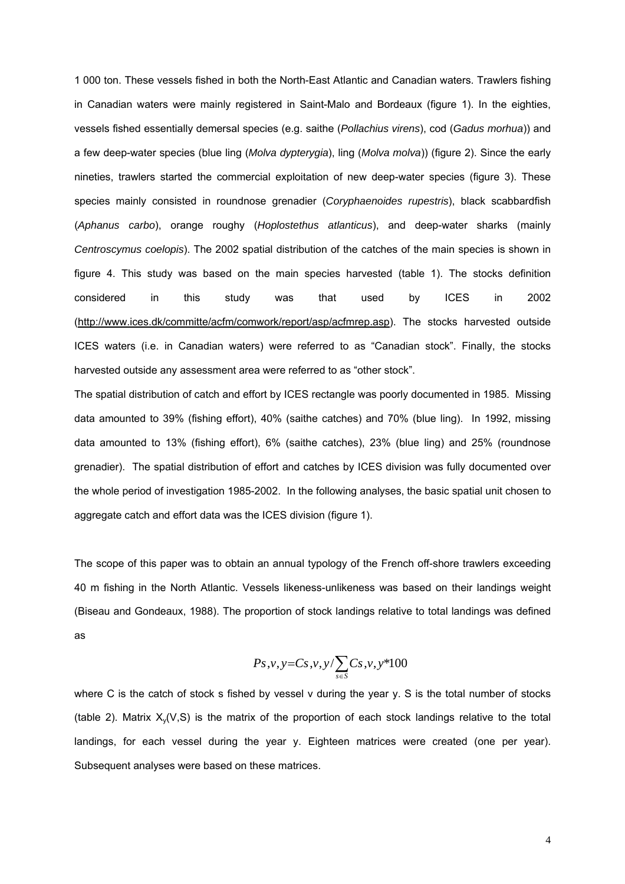1 000 ton. These vessels fished in both the North-East Atlantic and Canadian waters. Trawlers fishing in Canadian waters were mainly registered in Saint-Malo and Bordeaux (figure 1). In the eighties, vessels fished essentially demersal species (e.g. saithe (*Pollachius virens*), cod (*Gadus morhua*)) and a few deep-water species (blue ling (*Molva dypterygia*), ling (*Molva molva*)) (figure 2). Since the early nineties, trawlers started the commercial exploitation of new deep-water species (figure 3). These species mainly consisted in roundnose grenadier (*Coryphaenoides rupestris*), black scabbardfish (*Aphanus carbo*), orange roughy (*Hoplostethus atlanticus*), and deep-water sharks (mainly *Centroscymus coelopis*). The 2002 spatial distribution of the catches of the main species is shown in figure 4. This study was based on the main species harvested (table 1). The stocks definition considered in this study was that used by ICES in 2002 [\(http://www.ices.dk/committe/acfm/comwork/report/asp/acfmrep.asp\)](http://www.ices.dk/committe/acfm/comwork/report/asp/acfmrep.asp). The stocks harvested outside ICES waters (i.e. in Canadian waters) were referred to as "Canadian stock". Finally, the stocks harvested outside any assessment area were referred to as "other stock".

The spatial distribution of catch and effort by ICES rectangle was poorly documented in 1985. Missing data amounted to 39% (fishing effort), 40% (saithe catches) and 70% (blue ling). In 1992, missing data amounted to 13% (fishing effort), 6% (saithe catches), 23% (blue ling) and 25% (roundnose grenadier). The spatial distribution of effort and catches by ICES division was fully documented over the whole period of investigation 1985-2002. In the following analyses, the basic spatial unit chosen to aggregate catch and effort data was the ICES division (figure 1).

The scope of this paper was to obtain an annual typology of the French off-shore trawlers exceeding 40 m fishing in the North Atlantic. Vessels likeness-unlikeness was based on their landings weight (Biseau and Gondeaux, 1988). The proportion of stock landings relative to total landings was defined as

$$
Ps, v, y=Cs, v, y/\sum_{s\in S}Cs, v, y*100
$$

where C is the catch of stock s fished by vessel v during the year y. S is the total number of stocks (table 2). Matrix  $X_v(V,S)$  is the matrix of the proportion of each stock landings relative to the total landings, for each vessel during the year y. Eighteen matrices were created (one per year). Subsequent analyses were based on these matrices.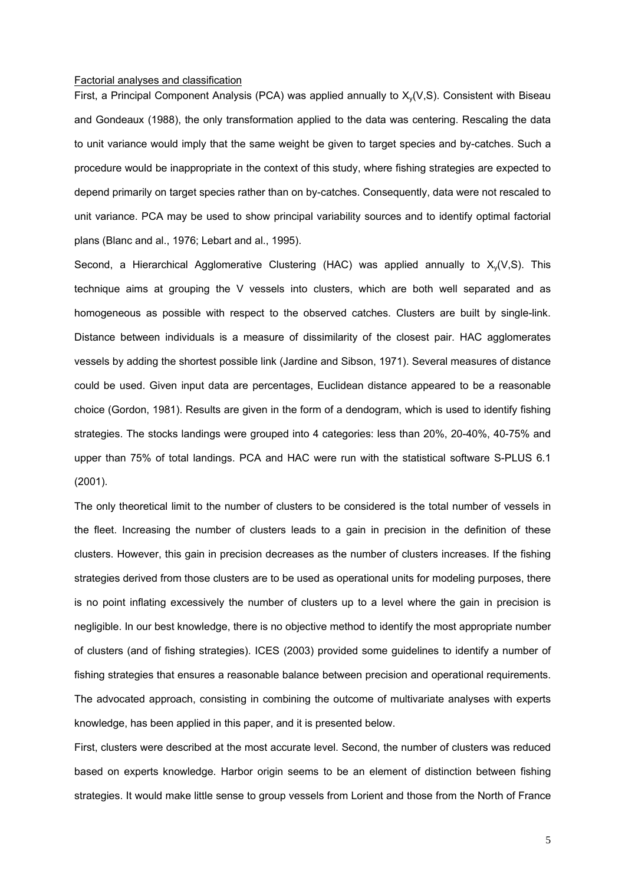#### Factorial analyses and classification

First, a Principal Component Analysis (PCA) was applied annually to  $X_v(V,S)$ . Consistent with Biseau and Gondeaux (1988), the only transformation applied to the data was centering. Rescaling the data to unit variance would imply that the same weight be given to target species and by-catches. Such a procedure would be inappropriate in the context of this study, where fishing strategies are expected to depend primarily on target species rather than on by-catches. Consequently, data were not rescaled to unit variance. PCA may be used to show principal variability sources and to identify optimal factorial plans (Blanc and al., 1976; Lebart and al., 1995).

Second, a Hierarchical Agglomerative Clustering (HAC) was applied annually to  $X<sub>y</sub>(V,S)$ . This technique aims at grouping the V vessels into clusters, which are both well separated and as homogeneous as possible with respect to the observed catches. Clusters are built by single-link. Distance between individuals is a measure of dissimilarity of the closest pair. HAC agglomerates vessels by adding the shortest possible link (Jardine and Sibson, 1971). Several measures of distance could be used. Given input data are percentages, Euclidean distance appeared to be a reasonable choice (Gordon, 1981). Results are given in the form of a dendogram, which is used to identify fishing strategies. The stocks landings were grouped into 4 categories: less than 20%, 20-40%, 40-75% and upper than 75% of total landings. PCA and HAC were run with the statistical software S-PLUS 6.1 (2001).

The only theoretical limit to the number of clusters to be considered is the total number of vessels in the fleet. Increasing the number of clusters leads to a gain in precision in the definition of these clusters. However, this gain in precision decreases as the number of clusters increases. If the fishing strategies derived from those clusters are to be used as operational units for modeling purposes, there is no point inflating excessively the number of clusters up to a level where the gain in precision is negligible. In our best knowledge, there is no objective method to identify the most appropriate number of clusters (and of fishing strategies). ICES (2003) provided some guidelines to identify a number of fishing strategies that ensures a reasonable balance between precision and operational requirements. The advocated approach, consisting in combining the outcome of multivariate analyses with experts knowledge, has been applied in this paper, and it is presented below.

First, clusters were described at the most accurate level. Second, the number of clusters was reduced based on experts knowledge. Harbor origin seems to be an element of distinction between fishing strategies. It would make little sense to group vessels from Lorient and those from the North of France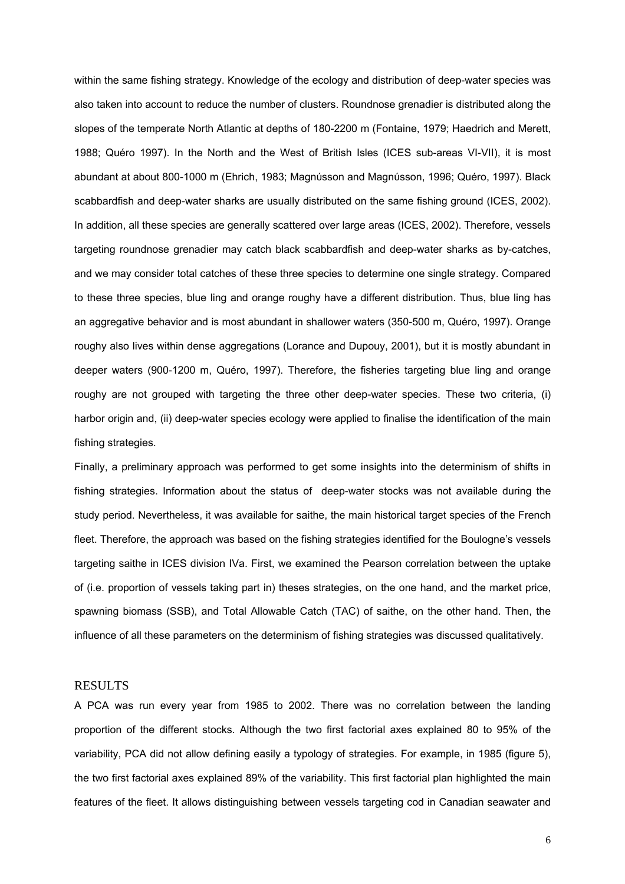within the same fishing strategy. Knowledge of the ecology and distribution of deep-water species was also taken into account to reduce the number of clusters. Roundnose grenadier is distributed along the slopes of the temperate North Atlantic at depths of 180-2200 m (Fontaine, 1979; Haedrich and Merett, 1988; Quéro 1997). In the North and the West of British Isles (ICES sub-areas VI-VII), it is most abundant at about 800-1000 m (Ehrich, 1983; Magnύsson and Magnύsson, 1996; Quéro, 1997). Black scabbardfish and deep-water sharks are usually distributed on the same fishing ground (ICES, 2002). In addition, all these species are generally scattered over large areas (ICES, 2002). Therefore, vessels targeting roundnose grenadier may catch black scabbardfish and deep-water sharks as by-catches, and we may consider total catches of these three species to determine one single strategy. Compared to these three species, blue ling and orange roughy have a different distribution. Thus, blue ling has an aggregative behavior and is most abundant in shallower waters (350-500 m, Quéro, 1997). Orange roughy also lives within dense aggregations (Lorance and Dupouy, 2001), but it is mostly abundant in deeper waters (900-1200 m, Quéro, 1997). Therefore, the fisheries targeting blue ling and orange roughy are not grouped with targeting the three other deep-water species. These two criteria, (i) harbor origin and, (ii) deep-water species ecology were applied to finalise the identification of the main fishing strategies.

Finally, a preliminary approach was performed to get some insights into the determinism of shifts in fishing strategies. Information about the status of deep-water stocks was not available during the study period. Nevertheless, it was available for saithe, the main historical target species of the French fleet. Therefore, the approach was based on the fishing strategies identified for the Boulogne's vessels targeting saithe in ICES division IVa. First, we examined the Pearson correlation between the uptake of (i.e. proportion of vessels taking part in) theses strategies, on the one hand, and the market price, spawning biomass (SSB), and Total Allowable Catch (TAC) of saithe, on the other hand. Then, the influence of all these parameters on the determinism of fishing strategies was discussed qualitatively.

## RESULTS

A PCA was run every year from 1985 to 2002. There was no correlation between the landing proportion of the different stocks. Although the two first factorial axes explained 80 to 95% of the variability, PCA did not allow defining easily a typology of strategies. For example, in 1985 (figure 5), the two first factorial axes explained 89% of the variability. This first factorial plan highlighted the main features of the fleet. It allows distinguishing between vessels targeting cod in Canadian seawater and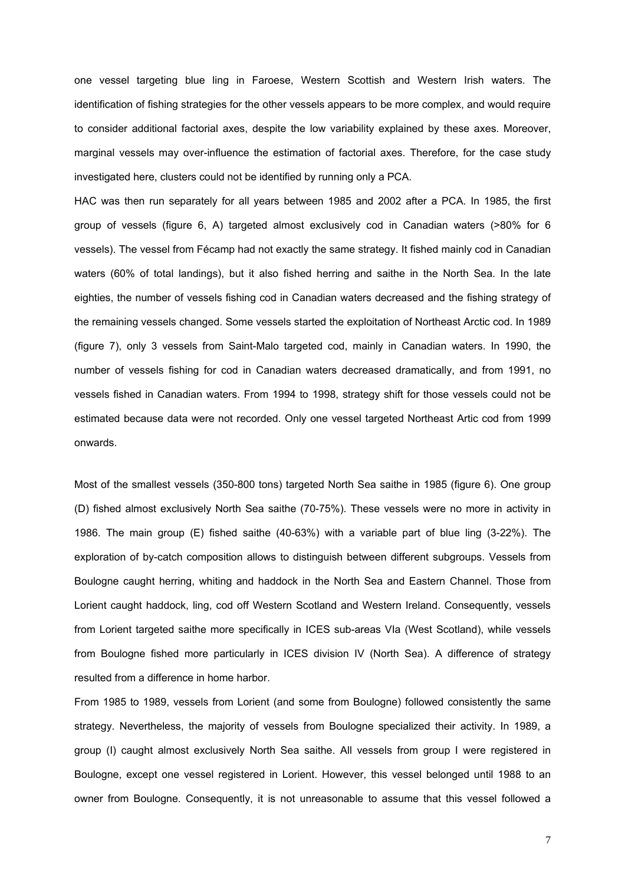one vessel targeting blue ling in Faroese, Western Scottish and Western Irish waters. The identification of fishing strategies for the other vessels appears to be more complex, and would require to consider additional factorial axes, despite the low variability explained by these axes. Moreover, marginal vessels may over-influence the estimation of factorial axes. Therefore, for the case study investigated here, clusters could not be identified by running only a PCA.

HAC was then run separately for all years between 1985 and 2002 after a PCA. In 1985, the first group of vessels (figure 6, A) targeted almost exclusively cod in Canadian waters (>80% for 6 vessels). The vessel from Fécamp had not exactly the same strategy. It fished mainly cod in Canadian waters (60% of total landings), but it also fished herring and saithe in the North Sea. In the late eighties, the number of vessels fishing cod in Canadian waters decreased and the fishing strategy of the remaining vessels changed. Some vessels started the exploitation of Northeast Arctic cod. In 1989 (figure 7), only 3 vessels from Saint-Malo targeted cod, mainly in Canadian waters. In 1990, the number of vessels fishing for cod in Canadian waters decreased dramatically, and from 1991, no vessels fished in Canadian waters. From 1994 to 1998, strategy shift for those vessels could not be estimated because data were not recorded. Only one vessel targeted Northeast Artic cod from 1999 onwards.

Most of the smallest vessels (350-800 tons) targeted North Sea saithe in 1985 (figure 6). One group (D) fished almost exclusively North Sea saithe (70-75%). These vessels were no more in activity in 1986. The main group (E) fished saithe (40-63%) with a variable part of blue ling (3-22%). The exploration of by-catch composition allows to distinguish between different subgroups. Vessels from Boulogne caught herring, whiting and haddock in the North Sea and Eastern Channel. Those from Lorient caught haddock, ling, cod off Western Scotland and Western Ireland. Consequently, vessels from Lorient targeted saithe more specifically in ICES sub-areas VIa (West Scotland), while vessels from Boulogne fished more particularly in ICES division IV (North Sea). A difference of strategy resulted from a difference in home harbor.

From 1985 to 1989, vessels from Lorient (and some from Boulogne) followed consistently the same strategy. Nevertheless, the majority of vessels from Boulogne specialized their activity. In 1989, a group (I) caught almost exclusively North Sea saithe. All vessels from group I were registered in Boulogne, except one vessel registered in Lorient. However, this vessel belonged until 1988 to an owner from Boulogne. Consequently, it is not unreasonable to assume that this vessel followed a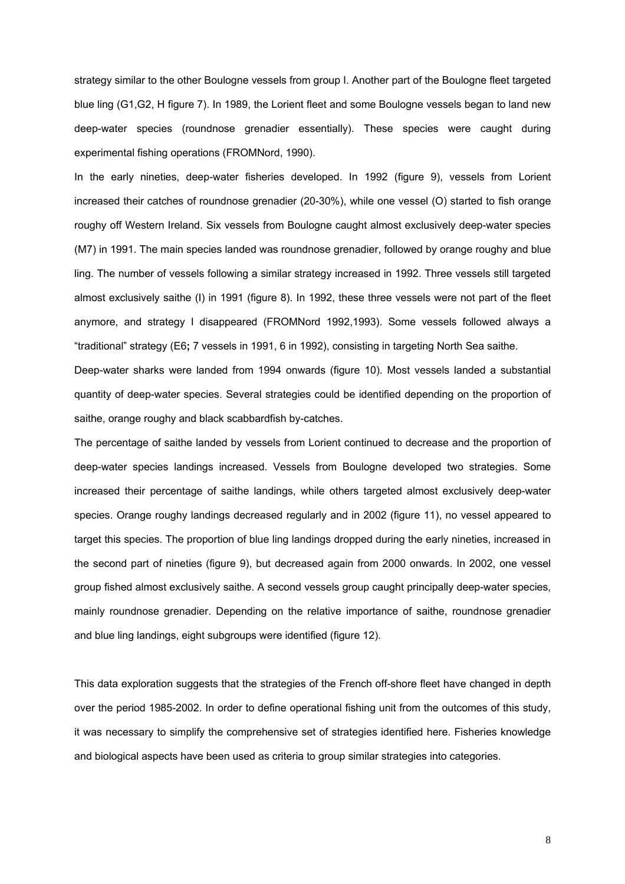strategy similar to the other Boulogne vessels from group I. Another part of the Boulogne fleet targeted blue ling (G1,G2, H figure 7). In 1989, the Lorient fleet and some Boulogne vessels began to land new deep-water species (roundnose grenadier essentially). These species were caught during experimental fishing operations (FROMNord, 1990).

In the early nineties, deep-water fisheries developed. In 1992 (figure 9), vessels from Lorient increased their catches of roundnose grenadier (20-30%), while one vessel (O) started to fish orange roughy off Western Ireland. Six vessels from Boulogne caught almost exclusively deep-water species (M7) in 1991. The main species landed was roundnose grenadier, followed by orange roughy and blue ling. The number of vessels following a similar strategy increased in 1992. Three vessels still targeted almost exclusively saithe (I) in 1991 (figure 8). In 1992, these three vessels were not part of the fleet anymore, and strategy I disappeared (FROMNord 1992,1993). Some vessels followed always a "traditional" strategy (E6**;** 7 vessels in 1991, 6 in 1992), consisting in targeting North Sea saithe.

Deep-water sharks were landed from 1994 onwards (figure 10). Most vessels landed a substantial quantity of deep-water species. Several strategies could be identified depending on the proportion of saithe, orange roughy and black scabbardfish by-catches.

The percentage of saithe landed by vessels from Lorient continued to decrease and the proportion of deep-water species landings increased. Vessels from Boulogne developed two strategies. Some increased their percentage of saithe landings, while others targeted almost exclusively deep-water species. Orange roughy landings decreased regularly and in 2002 (figure 11), no vessel appeared to target this species. The proportion of blue ling landings dropped during the early nineties, increased in the second part of nineties (figure 9), but decreased again from 2000 onwards. In 2002, one vessel group fished almost exclusively saithe. A second vessels group caught principally deep-water species, mainly roundnose grenadier. Depending on the relative importance of saithe, roundnose grenadier and blue ling landings, eight subgroups were identified (figure 12).

This data exploration suggests that the strategies of the French off-shore fleet have changed in depth over the period 1985-2002. In order to define operational fishing unit from the outcomes of this study, it was necessary to simplify the comprehensive set of strategies identified here. Fisheries knowledge and biological aspects have been used as criteria to group similar strategies into categories.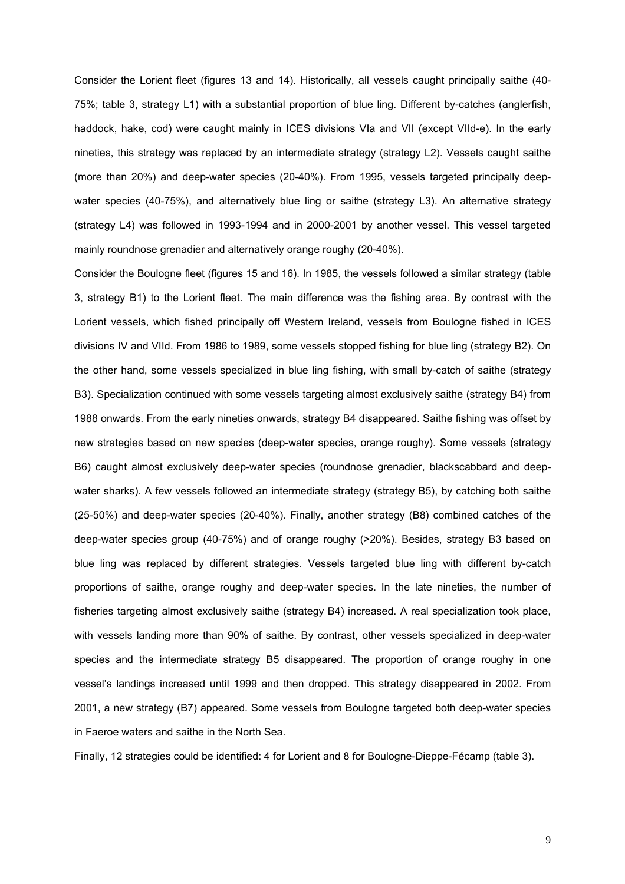Consider the Lorient fleet (figures 13 and 14). Historically, all vessels caught principally saithe (40- 75%; table 3, strategy L1) with a substantial proportion of blue ling. Different by-catches (anglerfish, haddock, hake, cod) were caught mainly in ICES divisions VIa and VII (except VIId-e). In the early nineties, this strategy was replaced by an intermediate strategy (strategy L2). Vessels caught saithe (more than 20%) and deep-water species (20-40%). From 1995, vessels targeted principally deepwater species (40-75%), and alternatively blue ling or saithe (strategy L3). An alternative strategy (strategy L4) was followed in 1993-1994 and in 2000-2001 by another vessel. This vessel targeted mainly roundnose grenadier and alternatively orange roughy (20-40%).

Consider the Boulogne fleet (figures 15 and 16). In 1985, the vessels followed a similar strategy (table 3, strategy B1) to the Lorient fleet. The main difference was the fishing area. By contrast with the Lorient vessels, which fished principally off Western Ireland, vessels from Boulogne fished in ICES divisions IV and VIId. From 1986 to 1989, some vessels stopped fishing for blue ling (strategy B2). On the other hand, some vessels specialized in blue ling fishing, with small by-catch of saithe (strategy B3). Specialization continued with some vessels targeting almost exclusively saithe (strategy B4) from 1988 onwards. From the early nineties onwards, strategy B4 disappeared. Saithe fishing was offset by new strategies based on new species (deep-water species, orange roughy). Some vessels (strategy B6) caught almost exclusively deep-water species (roundnose grenadier, blackscabbard and deepwater sharks). A few vessels followed an intermediate strategy (strategy B5), by catching both saithe (25-50%) and deep-water species (20-40%). Finally, another strategy (B8) combined catches of the deep-water species group (40-75%) and of orange roughy (>20%). Besides, strategy B3 based on blue ling was replaced by different strategies. Vessels targeted blue ling with different by-catch proportions of saithe, orange roughy and deep-water species. In the late nineties, the number of fisheries targeting almost exclusively saithe (strategy B4) increased. A real specialization took place, with vessels landing more than 90% of saithe. By contrast, other vessels specialized in deep-water species and the intermediate strategy B5 disappeared. The proportion of orange roughy in one vessel's landings increased until 1999 and then dropped. This strategy disappeared in 2002. From 2001, a new strategy (B7) appeared. Some vessels from Boulogne targeted both deep-water species in Faeroe waters and saithe in the North Sea.

Finally, 12 strategies could be identified: 4 for Lorient and 8 for Boulogne-Dieppe-Fécamp (table 3).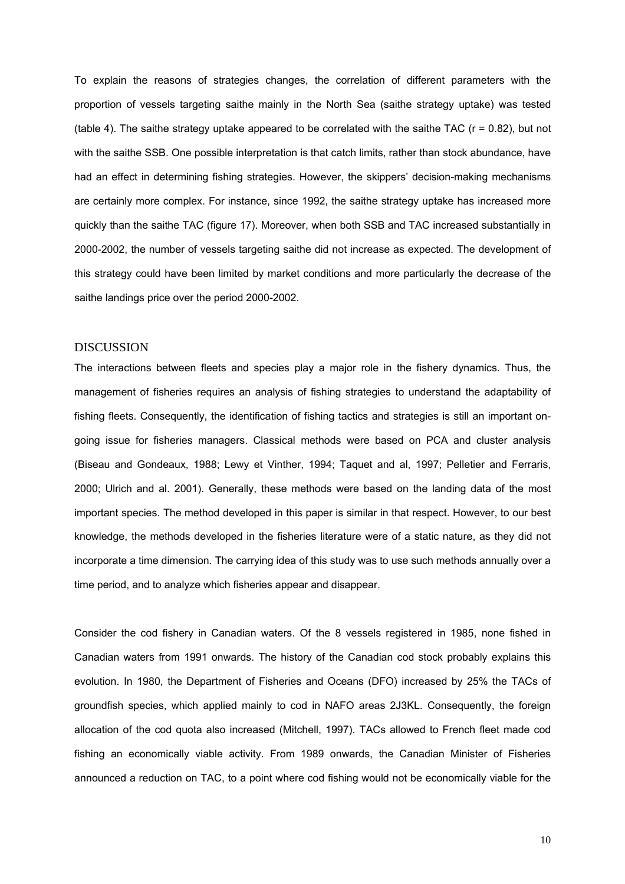To explain the reasons of strategies changes, the correlation of different parameters with the proportion of vessels targeting saithe mainly in the North Sea (saithe strategy uptake) was tested (table 4). The saithe strategy uptake appeared to be correlated with the saithe TAC  $(r = 0.82)$ , but not with the saithe SSB. One possible interpretation is that catch limits, rather than stock abundance, have had an effect in determining fishing strategies. However, the skippers' decision-making mechanisms are certainly more complex. For instance, since 1992, the saithe strategy uptake has increased more quickly than the saithe TAC (figure 17). Moreover, when both SSB and TAC increased substantially in 2000-2002, the number of vessels targeting saithe did not increase as expected. The development of this strategy could have been limited by market conditions and more particularly the decrease of the saithe landings price over the period 2000-2002.

## DISCUSSION

The interactions between fleets and species play a major role in the fishery dynamics. Thus, the management of fisheries requires an analysis of fishing strategies to understand the adaptability of fishing fleets. Consequently, the identification of fishing tactics and strategies is still an important ongoing issue for fisheries managers. Classical methods were based on PCA and cluster analysis (Biseau and Gondeaux, 1988; Lewy et Vinther, 1994; Taquet and al, 1997; Pelletier and Ferraris, 2000; Ulrich and al. 2001). Generally, these methods were based on the landing data of the most important species. The method developed in this paper is similar in that respect. However, to our best knowledge, the methods developed in the fisheries literature were of a static nature, as they did not incorporate a time dimension. The carrying idea of this study was to use such methods annually over a time period, and to analyze which fisheries appear and disappear.

Consider the cod fishery in Canadian waters. Of the 8 vessels registered in 1985, none fished in Canadian waters from 1991 onwards. The history of the Canadian cod stock probably explains this evolution. In 1980, the Department of Fisheries and Oceans (DFO) increased by 25% the TACs of groundfish species, which applied mainly to cod in NAFO areas 2J3KL. Consequently, the foreign allocation of the cod quota also increased (Mitchell, 1997). TACs allowed to French fleet made cod fishing an economically viable activity. From 1989 onwards, the Canadian Minister of Fisheries announced a reduction on TAC, to a point where cod fishing would not be economically viable for the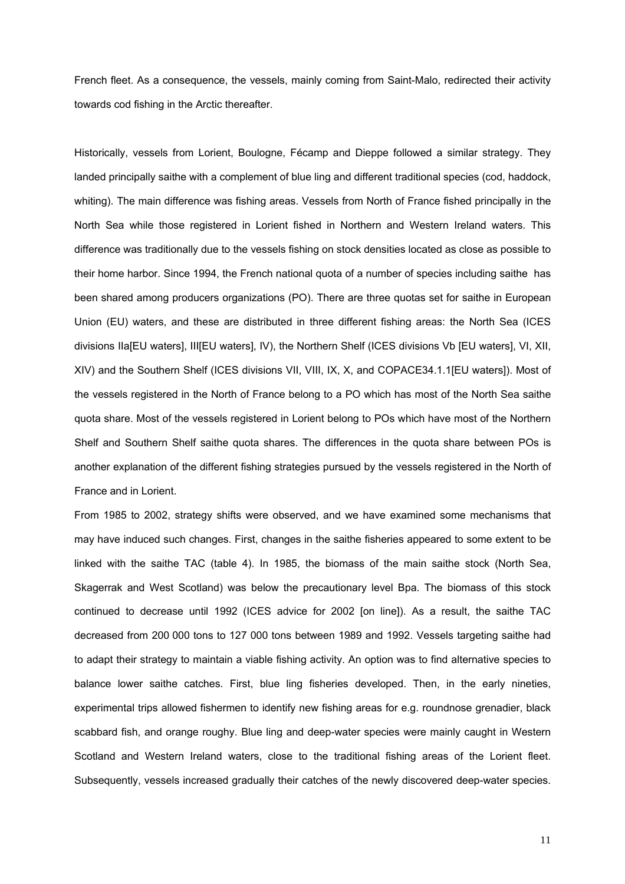French fleet. As a consequence, the vessels, mainly coming from Saint-Malo, redirected their activity towards cod fishing in the Arctic thereafter.

Historically, vessels from Lorient, Boulogne, Fécamp and Dieppe followed a similar strategy. They landed principally saithe with a complement of blue ling and different traditional species (cod, haddock, whiting). The main difference was fishing areas. Vessels from North of France fished principally in the North Sea while those registered in Lorient fished in Northern and Western Ireland waters. This difference was traditionally due to the vessels fishing on stock densities located as close as possible to their home harbor. Since 1994, the French national quota of a number of species including saithe has been shared among producers organizations (PO). There are three quotas set for saithe in European Union (EU) waters, and these are distributed in three different fishing areas: the North Sea (ICES divisions IIa[EU waters], III[EU waters], IV), the Northern Shelf (ICES divisions Vb [EU waters], VI, XII, XIV) and the Southern Shelf (ICES divisions VII, VIII, IX, X, and COPACE34.1.1[EU waters]). Most of the vessels registered in the North of France belong to a PO which has most of the North Sea saithe quota share. Most of the vessels registered in Lorient belong to POs which have most of the Northern Shelf and Southern Shelf saithe quota shares. The differences in the quota share between POs is another explanation of the different fishing strategies pursued by the vessels registered in the North of France and in Lorient.

From 1985 to 2002, strategy shifts were observed, and we have examined some mechanisms that may have induced such changes. First, changes in the saithe fisheries appeared to some extent to be linked with the saithe TAC (table 4). In 1985, the biomass of the main saithe stock (North Sea, Skagerrak and West Scotland) was below the precautionary level Bpa. The biomass of this stock continued to decrease until 1992 (ICES advice for 2002 [on line]). As a result, the saithe TAC decreased from 200 000 tons to 127 000 tons between 1989 and 1992. Vessels targeting saithe had to adapt their strategy to maintain a viable fishing activity. An option was to find alternative species to balance lower saithe catches. First, blue ling fisheries developed. Then, in the early nineties, experimental trips allowed fishermen to identify new fishing areas for e.g. roundnose grenadier, black scabbard fish, and orange roughy. Blue ling and deep-water species were mainly caught in Western Scotland and Western Ireland waters, close to the traditional fishing areas of the Lorient fleet. Subsequently, vessels increased gradually their catches of the newly discovered deep-water species.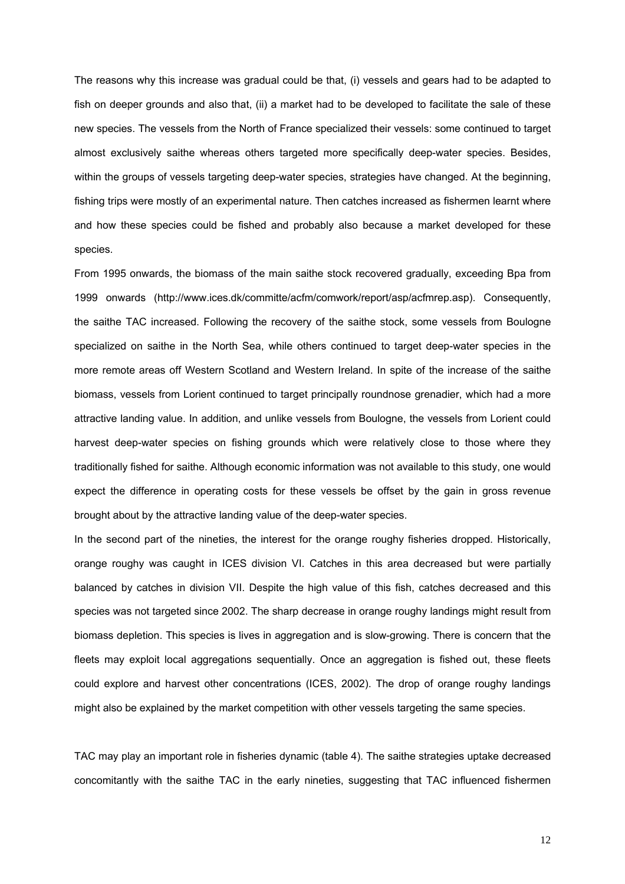The reasons why this increase was gradual could be that, (i) vessels and gears had to be adapted to fish on deeper grounds and also that, (ii) a market had to be developed to facilitate the sale of these new species. The vessels from the North of France specialized their vessels: some continued to target almost exclusively saithe whereas others targeted more specifically deep-water species. Besides, within the groups of vessels targeting deep-water species, strategies have changed. At the beginning, fishing trips were mostly of an experimental nature. Then catches increased as fishermen learnt where and how these species could be fished and probably also because a market developed for these species.

From 1995 onwards, the biomass of the main saithe stock recovered gradually, exceeding Bpa from 1999 onwards (http://www.ices.dk/committe/acfm/comwork/report/asp/acfmrep.asp). Consequently, the saithe TAC increased. Following the recovery of the saithe stock, some vessels from Boulogne specialized on saithe in the North Sea, while others continued to target deep-water species in the more remote areas off Western Scotland and Western Ireland. In spite of the increase of the saithe biomass, vessels from Lorient continued to target principally roundnose grenadier, which had a more attractive landing value. In addition, and unlike vessels from Boulogne, the vessels from Lorient could harvest deep-water species on fishing grounds which were relatively close to those where they traditionally fished for saithe. Although economic information was not available to this study, one would expect the difference in operating costs for these vessels be offset by the gain in gross revenue brought about by the attractive landing value of the deep-water species.

In the second part of the nineties, the interest for the orange roughy fisheries dropped. Historically, orange roughy was caught in ICES division VI. Catches in this area decreased but were partially balanced by catches in division VII. Despite the high value of this fish, catches decreased and this species was not targeted since 2002. The sharp decrease in orange roughy landings might result from biomass depletion. This species is lives in aggregation and is slow-growing. There is concern that the fleets may exploit local aggregations sequentially. Once an aggregation is fished out, these fleets could explore and harvest other concentrations (ICES, 2002). The drop of orange roughy landings might also be explained by the market competition with other vessels targeting the same species.

TAC may play an important role in fisheries dynamic (table 4). The saithe strategies uptake decreased concomitantly with the saithe TAC in the early nineties, suggesting that TAC influenced fishermen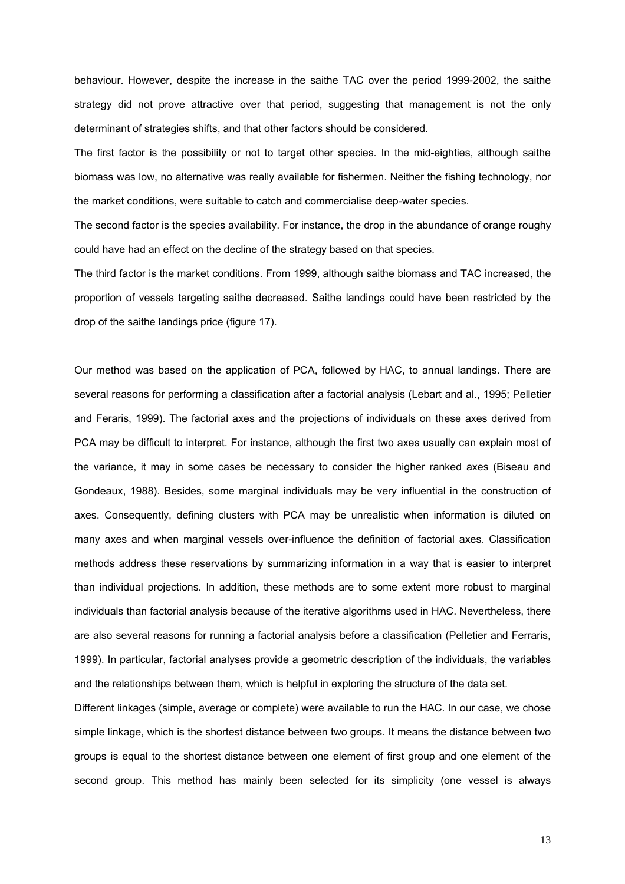behaviour. However, despite the increase in the saithe TAC over the period 1999-2002, the saithe strategy did not prove attractive over that period, suggesting that management is not the only determinant of strategies shifts, and that other factors should be considered.

The first factor is the possibility or not to target other species. In the mid-eighties, although saithe biomass was low, no alternative was really available for fishermen. Neither the fishing technology, nor the market conditions, were suitable to catch and commercialise deep-water species.

The second factor is the species availability. For instance, the drop in the abundance of orange roughy could have had an effect on the decline of the strategy based on that species.

The third factor is the market conditions. From 1999, although saithe biomass and TAC increased, the proportion of vessels targeting saithe decreased. Saithe landings could have been restricted by the drop of the saithe landings price (figure 17).

Our method was based on the application of PCA, followed by HAC, to annual landings. There are several reasons for performing a classification after a factorial analysis (Lebart and al., 1995; Pelletier and Feraris, 1999). The factorial axes and the projections of individuals on these axes derived from PCA may be difficult to interpret. For instance, although the first two axes usually can explain most of the variance, it may in some cases be necessary to consider the higher ranked axes (Biseau and Gondeaux, 1988). Besides, some marginal individuals may be very influential in the construction of axes. Consequently, defining clusters with PCA may be unrealistic when information is diluted on many axes and when marginal vessels over-influence the definition of factorial axes. Classification methods address these reservations by summarizing information in a way that is easier to interpret than individual projections. In addition, these methods are to some extent more robust to marginal individuals than factorial analysis because of the iterative algorithms used in HAC. Nevertheless, there are also several reasons for running a factorial analysis before a classification (Pelletier and Ferraris, 1999). In particular, factorial analyses provide a geometric description of the individuals, the variables and the relationships between them, which is helpful in exploring the structure of the data set.

Different linkages (simple, average or complete) were available to run the HAC. In our case, we chose simple linkage, which is the shortest distance between two groups. It means the distance between two groups is equal to the shortest distance between one element of first group and one element of the second group. This method has mainly been selected for its simplicity (one vessel is always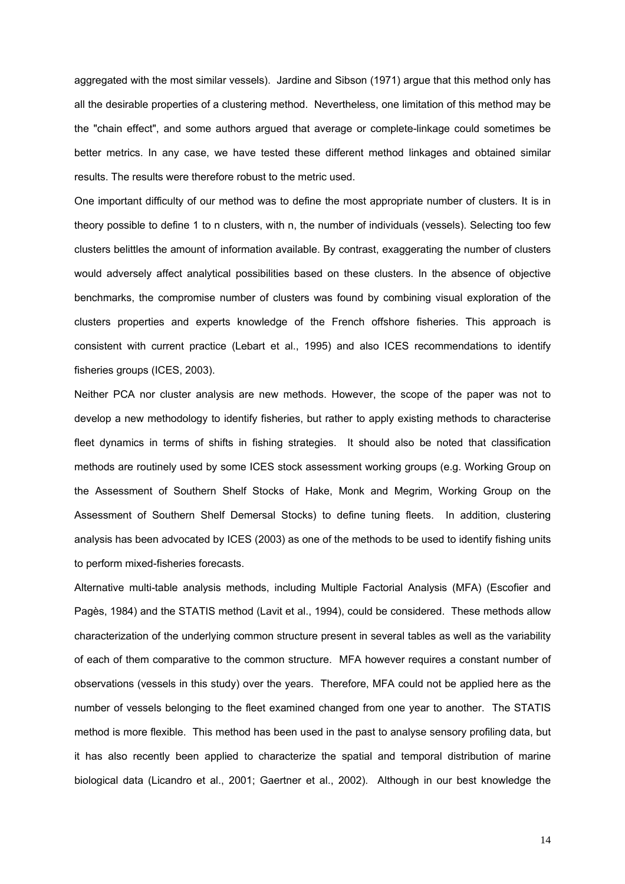aggregated with the most similar vessels). Jardine and Sibson (1971) argue that this method only has all the desirable properties of a clustering method. Nevertheless, one limitation of this method may be the "chain effect", and some authors argued that average or complete-linkage could sometimes be better metrics. In any case, we have tested these different method linkages and obtained similar results. The results were therefore robust to the metric used.

One important difficulty of our method was to define the most appropriate number of clusters. It is in theory possible to define 1 to n clusters, with n, the number of individuals (vessels). Selecting too few clusters belittles the amount of information available. By contrast, exaggerating the number of clusters would adversely affect analytical possibilities based on these clusters. In the absence of objective benchmarks, the compromise number of clusters was found by combining visual exploration of the clusters properties and experts knowledge of the French offshore fisheries. This approach is consistent with current practice (Lebart et al., 1995) and also ICES recommendations to identify fisheries groups (ICES, 2003).

Neither PCA nor cluster analysis are new methods. However, the scope of the paper was not to develop a new methodology to identify fisheries, but rather to apply existing methods to characterise fleet dynamics in terms of shifts in fishing strategies. It should also be noted that classification methods are routinely used by some ICES stock assessment working groups (e.g. Working Group on the Assessment of Southern Shelf Stocks of Hake, Monk and Megrim, Working Group on the Assessment of Southern Shelf Demersal Stocks) to define tuning fleets. In addition, clustering analysis has been advocated by ICES (2003) as one of the methods to be used to identify fishing units to perform mixed-fisheries forecasts.

Alternative multi-table analysis methods, including Multiple Factorial Analysis (MFA) (Escofier and Pagès, 1984) and the STATIS method (Lavit et al., 1994), could be considered. These methods allow characterization of the underlying common structure present in several tables as well as the variability of each of them comparative to the common structure. MFA however requires a constant number of observations (vessels in this study) over the years. Therefore, MFA could not be applied here as the number of vessels belonging to the fleet examined changed from one year to another. The STATIS method is more flexible. This method has been used in the past to analyse sensory profiling data, but it has also recently been applied to characterize the spatial and temporal distribution of marine biological data (Licandro et al., 2001; Gaertner et al., 2002). Although in our best knowledge the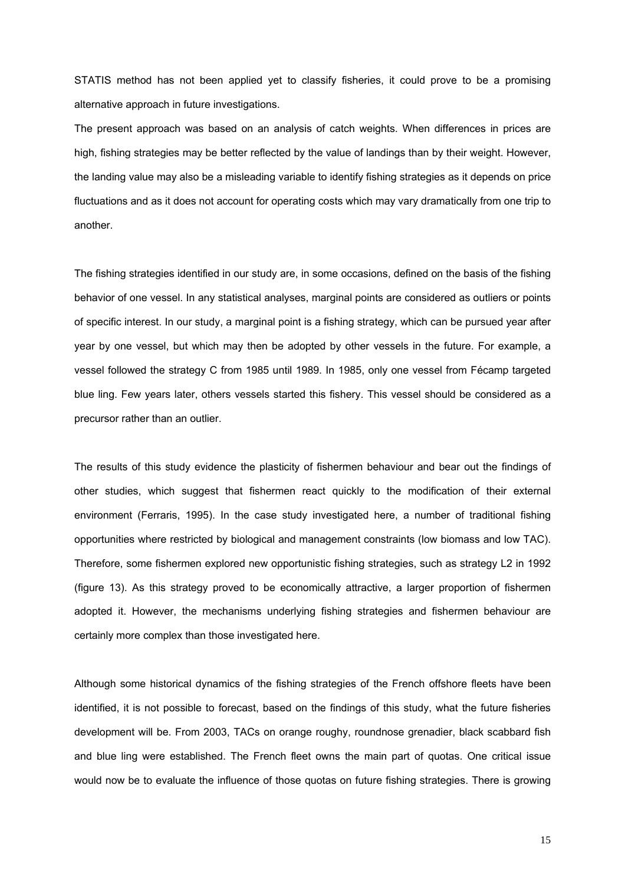STATIS method has not been applied yet to classify fisheries, it could prove to be a promising alternative approach in future investigations.

The present approach was based on an analysis of catch weights. When differences in prices are high, fishing strategies may be better reflected by the value of landings than by their weight. However, the landing value may also be a misleading variable to identify fishing strategies as it depends on price fluctuations and as it does not account for operating costs which may vary dramatically from one trip to another.

The fishing strategies identified in our study are, in some occasions, defined on the basis of the fishing behavior of one vessel. In any statistical analyses, marginal points are considered as outliers or points of specific interest. In our study, a marginal point is a fishing strategy, which can be pursued year after year by one vessel, but which may then be adopted by other vessels in the future. For example, a vessel followed the strategy C from 1985 until 1989. In 1985, only one vessel from Fécamp targeted blue ling. Few years later, others vessels started this fishery. This vessel should be considered as a precursor rather than an outlier.

The results of this study evidence the plasticity of fishermen behaviour and bear out the findings of other studies, which suggest that fishermen react quickly to the modification of their external environment (Ferraris, 1995). In the case study investigated here, a number of traditional fishing opportunities where restricted by biological and management constraints (low biomass and low TAC). Therefore, some fishermen explored new opportunistic fishing strategies, such as strategy L2 in 1992 (figure 13). As this strategy proved to be economically attractive, a larger proportion of fishermen adopted it. However, the mechanisms underlying fishing strategies and fishermen behaviour are certainly more complex than those investigated here.

Although some historical dynamics of the fishing strategies of the French offshore fleets have been identified, it is not possible to forecast, based on the findings of this study, what the future fisheries development will be. From 2003, TACs on orange roughy, roundnose grenadier, black scabbard fish and blue ling were established. The French fleet owns the main part of quotas. One critical issue would now be to evaluate the influence of those quotas on future fishing strategies. There is growing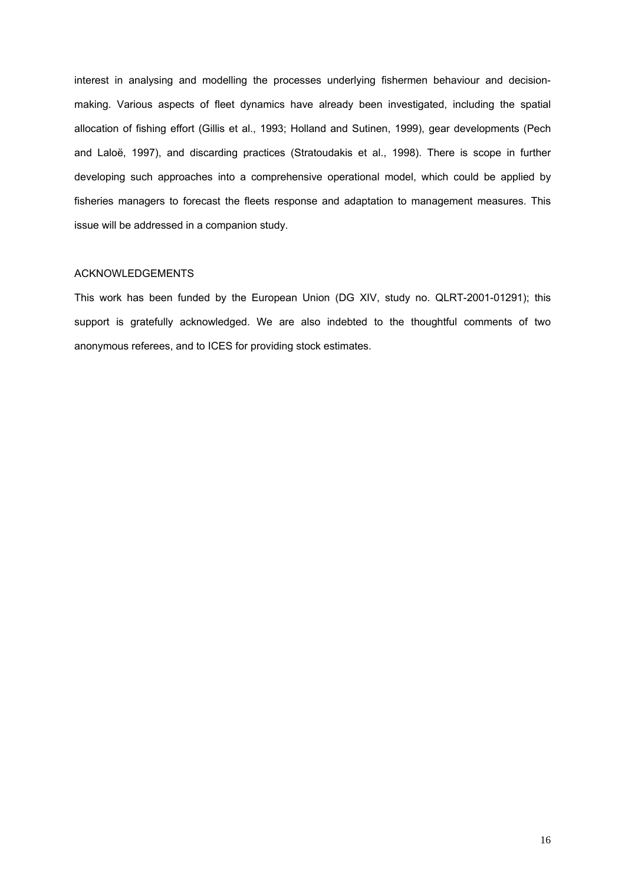interest in analysing and modelling the processes underlying fishermen behaviour and decisionmaking. Various aspects of fleet dynamics have already been investigated, including the spatial allocation of fishing effort (Gillis et al., 1993; Holland and Sutinen, 1999), gear developments (Pech and Laloë, 1997), and discarding practices (Stratoudakis et al., 1998). There is scope in further developing such approaches into a comprehensive operational model, which could be applied by fisheries managers to forecast the fleets response and adaptation to management measures. This issue will be addressed in a companion study.

## ACKNOWLEDGEMENTS

This work has been funded by the European Union (DG XIV, study no. QLRT-2001-01291); this support is gratefully acknowledged. We are also indebted to the thoughtful comments of two anonymous referees, and to ICES for providing stock estimates.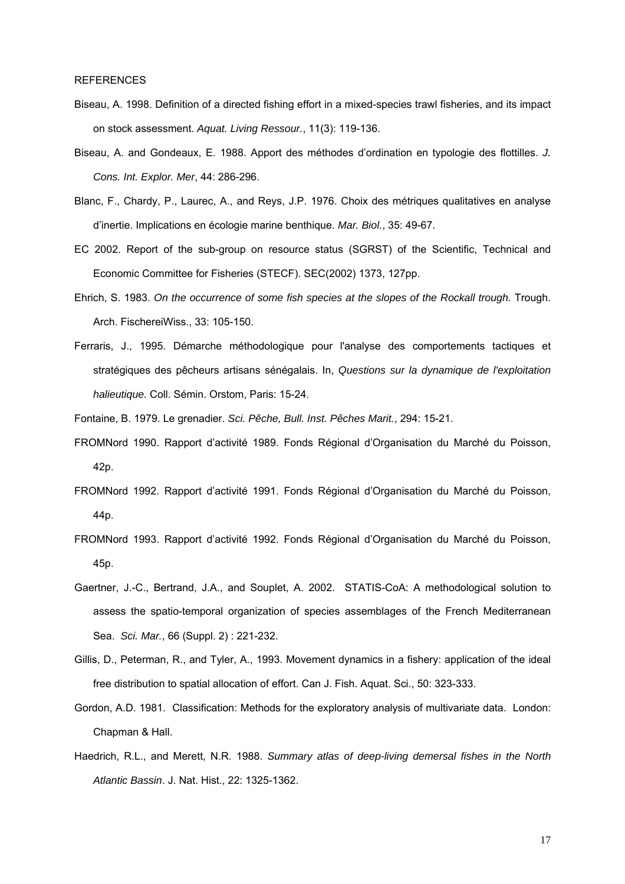- Biseau, A. 1998. Definition of a directed fishing effort in a mixed-species trawl fisheries, and its impact on stock assessment. *Aquat. Living Ressour.*, 11(3): 119-136.
- Biseau, A. and Gondeaux, E. 1988. Apport des méthodes d'ordination en typologie des flottilles. *J. Cons. Int. Explor. Mer*, 44: 286-296.
- Blanc, F., Chardy, P., Laurec, A., and Reys, J.P. 1976. Choix des métriques qualitatives en analyse d'inertie. Implications en écologie marine benthique. *Mar. Biol.*, 35: 49-67.
- EC 2002. Report of the sub-group on resource status (SGRST) of the Scientific, Technical and Economic Committee for Fisheries (STECF). SEC(2002) 1373, 127pp.
- Ehrich, S. 1983. *On the occurrence of some fish species at the slopes of the Rockall trough.* Trough. Arch. FischereiWiss., 33: 105-150.
- Ferraris, J., 1995. Démarche méthodologique pour l'analyse des comportements tactiques et stratégiques des pêcheurs artisans sénégalais. In, *Questions sur la dynamique de l'exploitation halieutique.* Coll. Sémin. Orstom, Paris: 15-24.
- Fontaine, B. 1979. Le grenadier. *Sci. Pêche, Bull. Inst. Pêches Marit.*, 294: 15-21.
- FROMNord 1990. Rapport d'activité 1989. Fonds Régional d'Organisation du Marché du Poisson, 42p.
- FROMNord 1992. Rapport d'activité 1991. Fonds Régional d'Organisation du Marché du Poisson, 44p.
- FROMNord 1993. Rapport d'activité 1992. Fonds Régional d'Organisation du Marché du Poisson, 45p.
- Gaertner, J.-C., Bertrand, J.A., and Souplet, A. 2002. STATIS-CoA: A methodological solution to assess the spatio-temporal organization of species assemblages of the French Mediterranean Sea. *Sci. Mar.*, 66 (Suppl. 2) : 221-232.
- Gillis, D., Peterman, R., and Tyler, A., 1993. Movement dynamics in a fishery: application of the ideal free distribution to spatial allocation of effort. Can J. Fish. Aquat. Sci., 50: 323-333.
- Gordon, A.D. 1981. Classification: Methods for the exploratory analysis of multivariate data. London: Chapman & Hall.
- Haedrich, R.L., and Merett, N.R. 1988. *Summary atlas of deep-living demersal fishes in the North Atlantic Bassin*. J. Nat. Hist., 22: 1325-1362.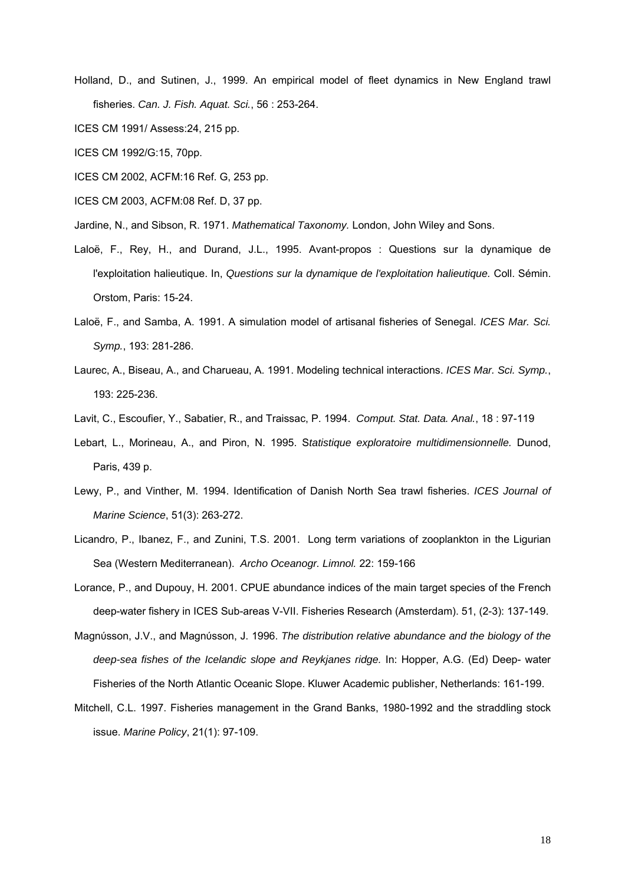- Holland, D., and Sutinen, J., 1999. An empirical model of fleet dynamics in New England trawl fisheries. *Can. J. Fish. Aquat. Sci.*, 56 : 253-264.
- ICES CM 1991/ Assess:24, 215 pp.
- ICES CM 1992/G:15, 70pp.
- ICES CM 2002, ACFM:16 Ref. G, 253 pp.
- ICES CM 2003, ACFM:08 Ref. D, 37 pp.
- Jardine, N., and Sibson, R. 1971. *Mathematical Taxonomy.* London, John Wiley and Sons.
- Laloë, F., Rey, H., and Durand, J.L., 1995. Avant-propos : Questions sur la dynamique de l'exploitation halieutique. In, *Questions sur la dynamique de l'exploitation halieutique.* Coll. Sémin. Orstom, Paris: 15-24.
- Laloë, F., and Samba, A. 1991. A simulation model of artisanal fisheries of Senegal. *ICES Mar. Sci. Symp.*, 193: 281-286.
- Laurec, A., Biseau, A., and Charueau, A. 1991. Modeling technical interactions. *ICES Mar. Sci. Symp.*, 193: 225-236.
- Lavit, C., Escoufier, Y., Sabatier, R., and Traissac, P. 1994. *Comput. Stat. Data. Anal.*, 18 : 97-119
- Lebart, L., Morineau, A., and Piron, N. 1995. S*tatistique exploratoire multidimensionnelle.* Dunod, Paris, 439 p.
- Lewy, P., and Vinther, M. 1994. Identification of Danish North Sea trawl fisheries. *ICES Journal of Marine Science*, 51(3): 263-272.
- Licandro, P., Ibanez, F., and Zunini, T.S. 2001. Long term variations of zooplankton in the Ligurian Sea (Western Mediterranean). *Archo Oceanogr. Limnol.* 22: 159-166
- Lorance, P., and Dupouy, H. 2001. CPUE abundance indices of the main target species of the French deep-water fishery in ICES Sub-areas V-VII. Fisheries Research (Amsterdam). 51, (2-3): 137-149.
- Magnύsson, J.V., and Magnύsson, J. 1996. *The distribution relative abundance and the biology of the deep-sea fishes of the Icelandic slope and Reykjanes ridge.* In: Hopper, A.G. (Ed) Deep- water Fisheries of the North Atlantic Oceanic Slope. Kluwer Academic publisher, Netherlands: 161-199.
- Mitchell, C.L. 1997. Fisheries management in the Grand Banks, 1980-1992 and the straddling stock issue. *Marine Policy*, 21(1): 97-109.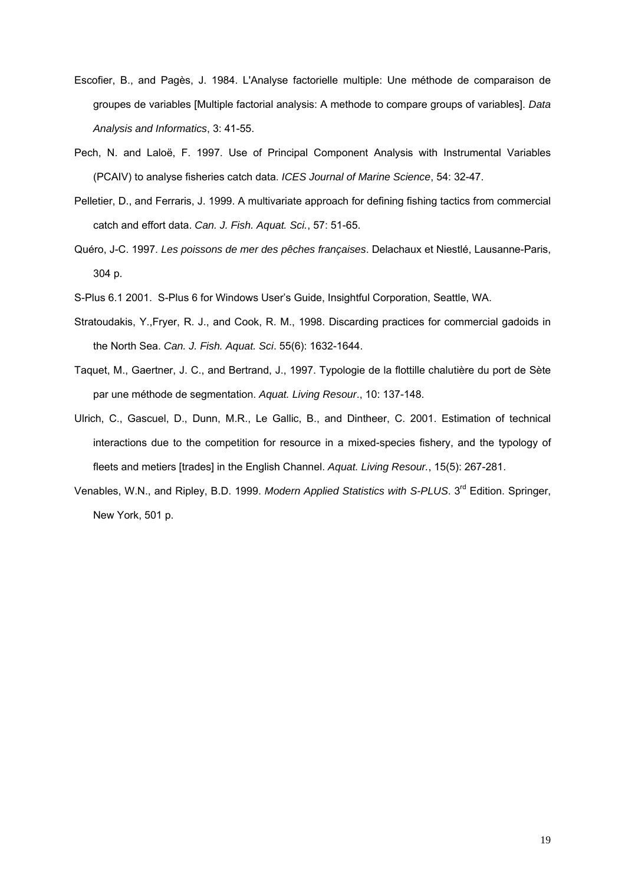- Escofier, B., and Pagès, J. 1984. L'Analyse factorielle multiple: Une méthode de comparaison de groupes de variables [Multiple factorial analysis: A methode to compare groups of variables]. *Data Analysis and Informatics*, 3: 41-55.
- Pech, N. and Laloë, F. 1997. Use of Principal Component Analysis with Instrumental Variables (PCAIV) to analyse fisheries catch data. *ICES Journal of Marine Science*, 54: 32-47.
- Pelletier, D., and Ferraris, J. 1999. A multivariate approach for defining fishing tactics from commercial catch and effort data. *Can. J. Fish. Aquat. Sci.*, 57: 51-65.
- Quéro, J-C. 1997. *Les poissons de mer des pêches françaises*. Delachaux et Niestlé, Lausanne-Paris, 304 p.
- S-Plus 6.1 2001. S-Plus 6 for Windows User's Guide, Insightful Corporation, Seattle, WA.
- Stratoudakis, Y.,Fryer, R. J., and Cook, R. M., 1998. Discarding practices for commercial gadoids in the North Sea. *Can. J. Fish. Aquat. Sci*. 55(6): 1632-1644.
- Taquet, M., Gaertner, J. C., and Bertrand, J., 1997. Typologie de la flottille chalutière du port de Sète par une méthode de segmentation. *Aquat. Living Resour*., 10: 137-148.
- Ulrich, C., Gascuel, D., Dunn, M.R., Le Gallic, B., and Dintheer, C. 2001. Estimation of technical interactions due to the competition for resource in a mixed-species fishery, and the typology of fleets and metiers [trades] in the English Channel. *Aquat. Living Resour.*, 15(5): 267-281.
- Venables, W.N., and Ripley, B.D. 1999. *Modern Applied Statistics with S-PLUS*. 3<sup>rd</sup> Edition. Springer, New York, 501 p.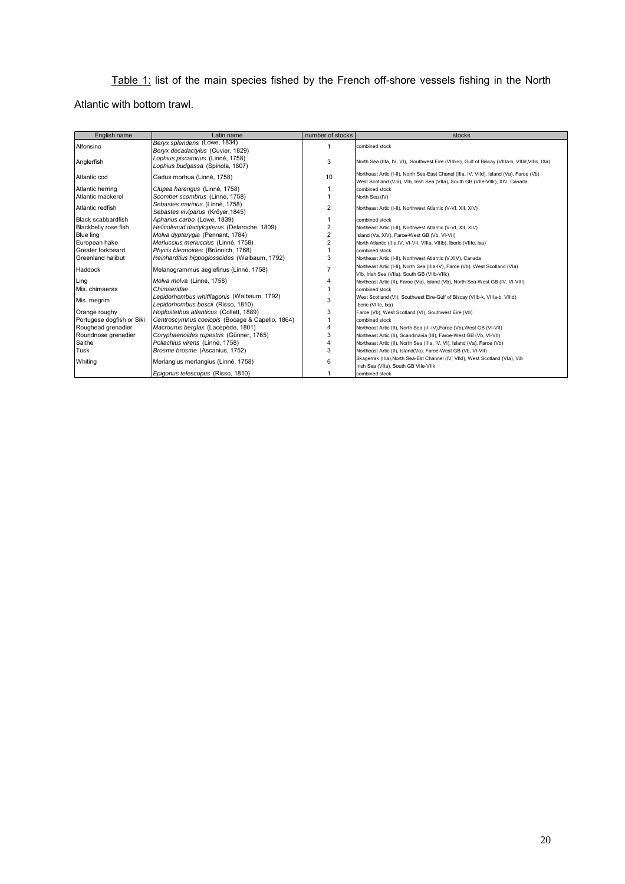Table 1: list of the main species fished by the French off-shore vessels fishing in the North Atlantic with bottom trawl.

| English name              | Latin name                                                            | number of stocks | stocks                                                                                                                                                                   |
|---------------------------|-----------------------------------------------------------------------|------------------|--------------------------------------------------------------------------------------------------------------------------------------------------------------------------|
| Alfonsino                 | Beryx splendens (Lowe, 1834)<br>Beryx decadactylus (Cuvier, 1829)     | $\overline{1}$   | combined stock                                                                                                                                                           |
| Anglerfish                | Lophius piscatorius (Linné, 1758)<br>Lophius budgassa (Spinola, 1807) | 3                | North Sea (IIIa, IV, VI), Southwest Eire (VIIb-k), Gulf of Biscay (VIIIa-b, VIIId, VIIIc, IXa)                                                                           |
| Atlantic cod              | Gadus morhua (Linné, 1758)                                            | 10               | Northeast Artic (I-II), North Sea-East Chanel (IIIa, IV, VIId), Island (Va), Faroe (Vb)<br>West Scotland (Vla), Vlb, Irish Sea (Vlla), South GB (Vlle-Vllk), XIV, Canada |
| Atlantic herring          | Clupea harengus (Linné, 1758)                                         |                  | combined stock                                                                                                                                                           |
| Atlantic mackerel         | Scomber scombrus (Linné, 1758)                                        |                  | North Sea (IV)                                                                                                                                                           |
| Atlantic redfish          | Sebastes marinus (Linné, 1758)<br>Sebastes viviparus (Kröyer, 1845)   | $\overline{2}$   | Northeast Artic (I-II), Northwest Atlantic (V-VI, XII, XIV)                                                                                                              |
| <b>Black scabbardfish</b> | Aphanus carbo (Lowe, 1839)                                            |                  | combined stock                                                                                                                                                           |
| Blackbelly rose fish      | Helicolenud dactylopterus (Delaroche, 1809)                           | $\overline{2}$   | Northeast Artic (I-II), Northwest Atlantic (V-VI, XII, XIV)                                                                                                              |
| Blue ling                 | Molva dypterygia (Pennant, 1784)                                      | $\overline{2}$   | Island (Va, XIV), Faroe-West GB (Vb, VI-VII)                                                                                                                             |
| European hake             | Merluccius merluccius (Linné, 1758)                                   | $\overline{2}$   | North Atlantic (Illa, IV, VI-VII, VIIIa, VIIIb), Iberic (VIIIc, Ixa)                                                                                                     |
| Greater forkbeard         | Phycis blennoides (Brünnich, 1768)                                    |                  | combined stock                                                                                                                                                           |
| Greenland halibut         | Reinhardtius hippoglossoides (Walbaum, 1792)                          | 3                | Northeast Artic (I-II), Northwest Atlantic (V,XIV), Canada                                                                                                               |
| Haddock                   | Melanogrammus aeglefinus (Linné, 1758)                                | 7                | Northeast Artic (I-II), North Sea (Illa-IV), Faroe (Vb), West Scotland (VIa)<br>VIb, Irish Sea (VIIa), South GB (VIIb-VIIk)                                              |
| Ling                      | Molva molva (Linné, 1758)                                             | 4                | Northeast Artic (II), Faroe (Va), Island (Vb), North Sea-West GB (IV, VI-VIII)                                                                                           |
| Mis. chimaeras            | Chimaeridae                                                           |                  | combined stock                                                                                                                                                           |
| Mis. megrim               | Lepidorhombus whiffiagonis (Walbaum, 1792)                            | 3                | West Scotland (VI), Southwest Eire-Gulf of Biscay (VIIb-k, VIIIa-b, VIIId)                                                                                               |
|                           | Lepidorhombus boscii (Risso, 1810)                                    |                  | Iberic (VIIIc, Ixa)                                                                                                                                                      |
| Orange roughy             | Hoplostethus atlanticus (Collett, 1889)                               | 3                | Faroe (Vb), West Scotland (VI), Southwest Eire (VII)                                                                                                                     |
| Portugese dogfish or Siki | Centroscymnus coelopis (Bocage & Capello, 1864)                       |                  | combined stock                                                                                                                                                           |
| Roughead grenadier        | Macrourus berglax (Lacepède, 1801)                                    |                  | Northeast Artic (II), North Sea (III-IV), Faroe (Vb), West GB (VI-VII)                                                                                                   |
| Roundnose grenadier       | Coryphaenoides rupestris (Günner, 1765)                               | 3                | Northeast Artic (II), Scandinavia (III), Faroe-West GB (Vb, VI-VII)                                                                                                      |
| Saithe                    | Pollachius virens (Linné, 1758)                                       |                  | Northeast Artic (II), North Sea (IIIa, IV, VI), Island (Va), Faroe (Vb)                                                                                                  |
| Tusk                      | Brosme brosme (Ascanius, 1752)                                        | 3                | Northeast Artic (II), Island(Va), Faroe-West GB (Vb, VI-VII)                                                                                                             |
| Whiting                   | Merlangius merlangius (Linné, 1758)                                   | 6                | Skagerrak (IIIa), North Sea-Est Channel (IV, VIId), West Scotland (VIa), Vib<br>Irish Sea (VIIa), South GB VIIe-VIIk                                                     |
|                           | Epigonus telescopus (Risso, 1810)                                     |                  | combined stock                                                                                                                                                           |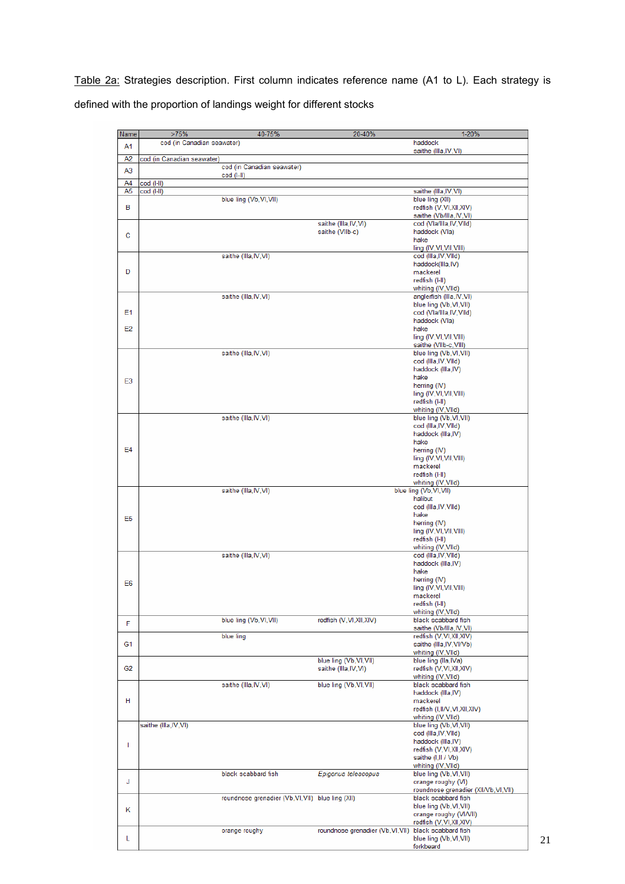Table 2a: Strategies description. First column indicates reference name (A1 to L). Each strategy is defined with the proportion of landings weight for different stocks

| Name           | >75%                       | 40-75%                                            | 20-40%                            | $1 - 20%$                                  |
|----------------|----------------------------|---------------------------------------------------|-----------------------------------|--------------------------------------------|
| A1             | cod (in Canadian seawater) |                                                   |                                   | haddock                                    |
|                |                            |                                                   |                                   | saithe (Illa, IV, VI)                      |
| A <sub>2</sub> | cod (in Canadian seawater) |                                                   |                                   |                                            |
| A <sub>3</sub> |                            | cod (in Canadian seawater)                        |                                   |                                            |
|                |                            | $cod$ ( $\vert$ - $\vert$ )                       |                                   |                                            |
| A4             | cod (I-II)                 |                                                   |                                   |                                            |
| A5             | cod (I-II)                 |                                                   |                                   | saithe (Illa, IV, VI)                      |
|                |                            | blue ling (Vb, VI, VII)                           |                                   | blue ling (XII)                            |
| в              |                            |                                                   |                                   | redfish (V,VI,XII,XIV)                     |
|                |                            |                                                   |                                   | saithe (Vb/Illa, IV, VI)                   |
|                |                            |                                                   | saithe (Illa, IV, VI)             | cod (Vla/Illa, IV, VIId)                   |
| C              |                            |                                                   | saithe (VIIb-c)                   | haddock (Vla)                              |
|                |                            |                                                   |                                   | hake                                       |
|                |                            |                                                   |                                   | ling (IV, VI, VII, VIII)                   |
|                |                            | saithe (Illa, IV, VI)                             |                                   | cod (Illa, IV, VIId)                       |
|                |                            |                                                   |                                   | haddock(IIIa,IV)                           |
| D              |                            |                                                   |                                   | mackerel                                   |
|                |                            |                                                   |                                   | redfish (I-II)                             |
|                |                            |                                                   |                                   | whiting (IV, VIId)                         |
|                |                            | saithe (Illa, IV, VI)                             |                                   | anglerfish (Illa, IV, VI)                  |
|                |                            |                                                   |                                   | blue ling (Vb, VI, VII)                    |
| E1             |                            |                                                   |                                   | cod (Vla/Illa, IV, VIId)                   |
|                |                            |                                                   |                                   | haddock (Vla)                              |
| E2             |                            |                                                   |                                   | hake                                       |
|                |                            |                                                   |                                   | ling (IV, VI, VII, VIII)                   |
|                |                            |                                                   |                                   | saithe (VIIb-c, VIII)                      |
|                |                            | saithe (Illa, IV, VI)                             |                                   | blue ling (Vb, VI, VII)                    |
|                |                            |                                                   |                                   | cod (Illa, IV, VIId)                       |
|                |                            |                                                   |                                   | haddock (Illa, IV)                         |
| E <sub>3</sub> |                            |                                                   |                                   | hake                                       |
|                |                            |                                                   |                                   | herring (IV)                               |
|                |                            |                                                   |                                   | ling (IV, VI, VII, VIII)                   |
|                |                            |                                                   |                                   | redfish (I-II)                             |
|                |                            |                                                   |                                   | whiting (IV, VIId)                         |
|                |                            | saithe (Illa, IV, VI)                             |                                   | blue ling (Vb, VI, VII)                    |
|                |                            |                                                   |                                   | cod (Illa, IV, VIId)                       |
|                |                            |                                                   |                                   | haddock (Illa, IV)                         |
|                |                            |                                                   |                                   | hake                                       |
| E <sub>4</sub> |                            |                                                   |                                   | herring (IV)                               |
|                |                            |                                                   |                                   | ling (IV, VI, VII, VIII)                   |
|                |                            |                                                   |                                   | mackerel                                   |
|                |                            |                                                   |                                   | redfish (I-II)                             |
|                |                            |                                                   |                                   | whiting (IV, VIId)                         |
|                |                            | saithe (Illa, IV, VI)                             |                                   | blue ling (Vb, VI, VII)                    |
|                |                            |                                                   |                                   | halibut                                    |
|                |                            |                                                   |                                   | cod (Illa, IV, VIId)                       |
| E <sub>5</sub> |                            |                                                   |                                   | hake                                       |
|                |                            |                                                   |                                   | herring (IV)                               |
|                |                            |                                                   |                                   | ling (IV, VI, VII, VIII)                   |
|                |                            |                                                   |                                   | redfish (I-II)                             |
|                |                            | saithe (Illa, IV, VI)                             |                                   | whiting (IV, VIId)                         |
|                |                            |                                                   |                                   | cod (Illa, IV, VIId)<br>haddock (Illa, IV) |
|                |                            |                                                   |                                   | hake                                       |
|                |                            |                                                   |                                   | herring (IV)                               |
| E <sub>6</sub> |                            |                                                   |                                   | ling (IV, VI, VII, VIII)                   |
|                |                            |                                                   |                                   | mackerel                                   |
|                |                            |                                                   |                                   | redfish (I-II)                             |
|                |                            |                                                   |                                   | whiting (IV, VIId)                         |
|                |                            | blue ling (Vb, VI, VII)                           | redfish (V,VI,XII,XIV)            | black scabbard fish                        |
| F              |                            |                                                   |                                   | saithe (Vb/Illa, IV, VI)                   |
|                |                            | blue ling                                         |                                   | redfish (V,VI,XII,XIV)                     |
| G <sub>1</sub> |                            |                                                   |                                   | saithe (Illa, IV, VI/Vb)                   |
|                |                            |                                                   |                                   | whiting (IV, VIId)                         |
|                |                            |                                                   | blue ling (Vb, VI, VII)           | blue ling (lla, IVa)                       |
| G <sub>2</sub> |                            |                                                   | saithe (Illa, IV, VI)             | redfish (V,VI,XII,XIV)                     |
|                |                            |                                                   |                                   | whiting (IV, VIId)                         |
|                |                            | saithe (Illa, IV, VI)                             | blue ling (Vb, VI, VII)           | black scabbard fish                        |
|                |                            |                                                   |                                   | haddock (Illa, IV)                         |
| н              |                            |                                                   |                                   | mackerel                                   |
|                |                            |                                                   |                                   | redfish (I,II/V,VI,XII,XIV)                |
|                |                            |                                                   |                                   | whiting (IV, VIId)                         |
|                | saithe (Illa, IV, VI)      |                                                   |                                   | blue ling (Vb, VI, VII)                    |
|                |                            |                                                   |                                   | cod (Illa, IV, VIId)                       |
| T              |                            |                                                   |                                   | haddock (Illa, IV)                         |
|                |                            |                                                   |                                   | redfish (V,VI,XII,XIV)                     |
|                |                            |                                                   |                                   | saithe (I,II / Vb)                         |
|                |                            |                                                   |                                   | whiting (IV, VIId)                         |
|                |                            | black scabbard fish                               | Epigonus telescopus               | blue ling (Vb, VI, VII)                    |
| J              |                            |                                                   |                                   | orange roughy (VI)                         |
|                |                            |                                                   |                                   | roundnose grenadier (XII/Vb, VI, VII)      |
|                |                            | roundnose grenadier (Vb, VI, VII) blue ling (XII) |                                   | black scabbard fish                        |
| К              |                            |                                                   |                                   | blue ling (Vb, VI, VII)                    |
|                |                            |                                                   |                                   | orange roughy (VI/VII)                     |
|                |                            |                                                   |                                   | redfish (V,VI,XII,XIV)                     |
|                |                            | orange roughy                                     | roundnose grenadier (Vb, VI, VII) | black scabbard fish                        |
| Г              |                            |                                                   |                                   | blue ling (Vb, VI, VII)                    |
|                |                            |                                                   |                                   | forkheard                                  |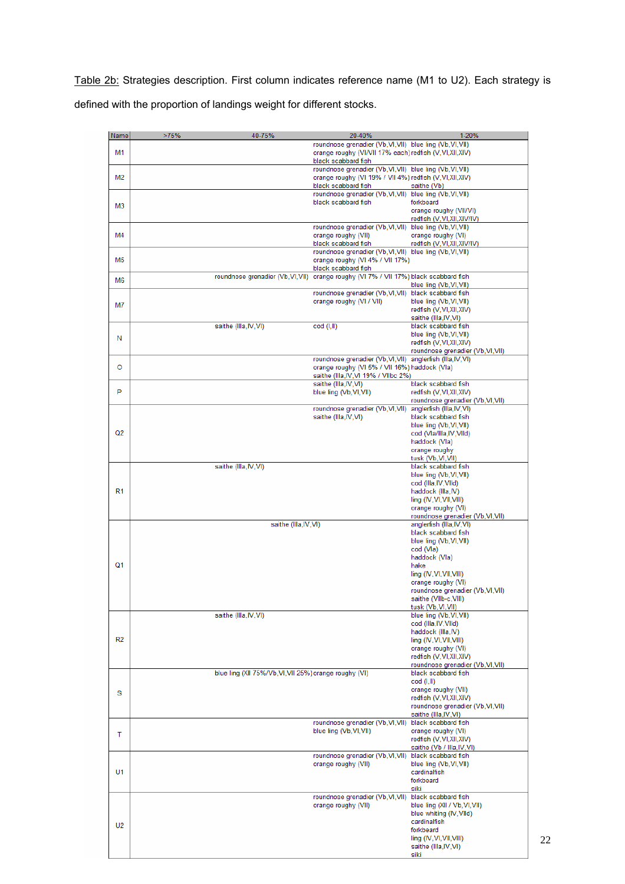Table 2b: Strategies description. First column indicates reference name (M1 to U2). Each strategy is defined with the proportion of landings weight for different stocks.

| Name           | >75%<br>40-75%                                         | 20-40%                                                                                | 1-20%                                                |
|----------------|--------------------------------------------------------|---------------------------------------------------------------------------------------|------------------------------------------------------|
|                |                                                        | roundnose grenadier (Vb, VI, VII) blue ling (Vb, VI, VII)                             |                                                      |
| M1             |                                                        | orange roughy (VI/VII 17% each) redfish (V, VI, XII, XIV)                             |                                                      |
|                |                                                        | black scabbard fish<br>roundnose grenadier (Vb, VI, VII) blue ling (Vb, VI, VII)      |                                                      |
| M <sub>2</sub> |                                                        | orange roughy (VI 19% / VII 4%) redfish (V, VI, XII, XIV)                             |                                                      |
|                |                                                        | black scabbard fish                                                                   | saithe (Vb)                                          |
|                |                                                        | roundnose grenadier (Vb, VI, VII) blue ling (Vb, VI, VII)                             |                                                      |
| M3             |                                                        | black scabbard fish                                                                   | forkbeard                                            |
|                |                                                        |                                                                                       | orange roughy (VII/VI)<br>redfish (V,VI,XII,XIV/IV)  |
|                |                                                        | roundnose grenadier (Vb, VI, VII) blue ling (Vb, VI, VII)                             |                                                      |
| M4             |                                                        | orange roughy (VII)                                                                   | orange roughy (VI)                                   |
|                |                                                        | black scabbard fish<br>roundnose grenadier (Vb, VI, VII) blue ling (Vb, VI, VII)      | redfish (V,VI,XII,XIV/IV)                            |
| M5             |                                                        | orange roughy (VI 4% / VII 17%)                                                       |                                                      |
|                |                                                        | black scabbard fish                                                                   |                                                      |
| M <sub>6</sub> | roundnose grenadier (Vb, VI, VII)                      | orange roughy (VI 7% / VII 17%) black scabbard fish                                   |                                                      |
|                |                                                        | roundnose grenadier (Vb, VI, VII)                                                     | blue ling (Vb, VI, VII)<br>black scabbard fish       |
|                |                                                        | orange roughy (VI / VII)                                                              | blue ling (Vb, VI, VII)                              |
| M7             |                                                        |                                                                                       | redfish (V,VI,XII,XIV)                               |
|                |                                                        |                                                                                       | saithe (Illa, IV, VI)                                |
|                | saithe (Illa, IV, VI)                                  | cod (I,II)                                                                            | black scabbard fish<br>blue ling (Vb, VI, VII)       |
| N              |                                                        |                                                                                       | redfish (V,VI,XII,XIV)                               |
|                |                                                        |                                                                                       | roundnose grenadier (Vb, VI, VII)                    |
|                |                                                        | roundnose grenadier (Vb, VI, VII) anglerfish (Illa, IV, VI)                           |                                                      |
| O              |                                                        | orange roughy (VI 5% / VII 16%) haddock (VIa)<br>saithe (Illa, IV, VI 19% / VIIbc 2%) |                                                      |
|                |                                                        | saithe (Illa, IV, VI)                                                                 | black scabbard fish                                  |
| P              |                                                        | blue ling (Vb, VI, VII)                                                               | redfish (V,VI,XII,XIV)                               |
|                |                                                        |                                                                                       | roundnose grenadier (Vb, VI, VII)                    |
|                |                                                        | roundnose grenadier (Vb, VI, VII)<br>saithe (Illa, IV, VI)                            | anglerfish (Illa, IV, VI)<br>black scabbard fish     |
|                |                                                        |                                                                                       | blue ling (Vb, VI, VII)                              |
| Q2             |                                                        |                                                                                       | cod (Vla/Illa, IV, VIId)                             |
|                |                                                        |                                                                                       | haddock (Vla)                                        |
|                |                                                        |                                                                                       | orange roughy<br>tusk (Vb, VI, VII)                  |
|                | saithe (Illa, IV, VI)                                  |                                                                                       | black scabbard fish                                  |
|                |                                                        |                                                                                       | blue ling (Vb, VI, VII)                              |
|                |                                                        |                                                                                       | cod (Illa, IV, VIId)                                 |
| R <sub>1</sub> |                                                        |                                                                                       | haddock (Illa, IV)<br>ling (IV, VI, VII, VIII)       |
|                |                                                        |                                                                                       | orange roughy (VI)                                   |
|                |                                                        |                                                                                       | roundnose grenadier (Vb, VI, VII)                    |
|                | saithe (Illa, IV, VI)                                  |                                                                                       | anglerfish (Illa, IV, VI)<br>black scabbard fish     |
|                |                                                        |                                                                                       | blue ling (Vb, VI, VII)                              |
|                |                                                        |                                                                                       | cod (Vla)                                            |
|                |                                                        |                                                                                       | haddock (Vla)                                        |
| Q1             |                                                        |                                                                                       | hake<br>ling (IV, VI, VII, VIII)                     |
|                |                                                        |                                                                                       | orange roughy (VI)                                   |
|                |                                                        |                                                                                       | roundnose grenadier (Vb, VI, VII)                    |
|                |                                                        |                                                                                       | saithe (VIIb-c,VIII)                                 |
|                | saithe (Illa, IV, VI)                                  |                                                                                       | tusk (Vb, VI, VII)<br>blue ling (Vb, VI, VII)        |
|                |                                                        |                                                                                       | cod (Illa, IV, VIId)                                 |
|                |                                                        |                                                                                       | haddock (Illa, IV)                                   |
| R2             |                                                        |                                                                                       | ling (IV, VI, VII, VIII)<br>orange roughy (VI)       |
|                |                                                        |                                                                                       | redfish (V,VI,XII,XIV)                               |
|                |                                                        |                                                                                       | roundnose grenadier (Vb, VI, VII)                    |
|                | blue ling (XII 75%/Vb, VI, VII 25%) orange roughy (VI) |                                                                                       | black scabbard fish                                  |
|                |                                                        |                                                                                       | cod (I, II)<br>orange roughy (VII)                   |
| s              |                                                        |                                                                                       | redfish (V,VI,XII,XIV)                               |
|                |                                                        |                                                                                       | roundnose grenadier (Vb, VI, VII)                    |
|                |                                                        | roundnose grenadier (Vb, VI, VII)                                                     | saithe (Illa, IV, VI)<br>black scabbard fish         |
|                |                                                        | blue ling (Vb, VI, VII)                                                               | orange roughy (VI)                                   |
| т              |                                                        |                                                                                       | redfish (V,VI,XII,XIV)                               |
|                |                                                        |                                                                                       | saithe (Vb / Illa, IV, VI)                           |
|                |                                                        | roundnose grenadier (Vb, VI, VII)<br>orange roughy (VII)                              | black scabbard fish<br>blue ling (Vb, VI, VII)       |
| U1             |                                                        |                                                                                       | cardinalfish                                         |
|                |                                                        |                                                                                       | forkbeard                                            |
|                |                                                        |                                                                                       | siki                                                 |
|                |                                                        | roundnose grenadier (Vb, VI, VII)<br>orange roughy (VII)                              | black scabbard fish<br>blue ling (XII / Vb, VI, VII) |
|                |                                                        |                                                                                       | blue whiting (IV, VIId)                              |
| U <sub>2</sub> |                                                        |                                                                                       | cardinalfish                                         |
|                |                                                        |                                                                                       | forkbeard                                            |
|                |                                                        |                                                                                       | ling (IV, VI, VII, VIII)<br>saithe (Illa, IV, VI)    |
|                |                                                        |                                                                                       | siki                                                 |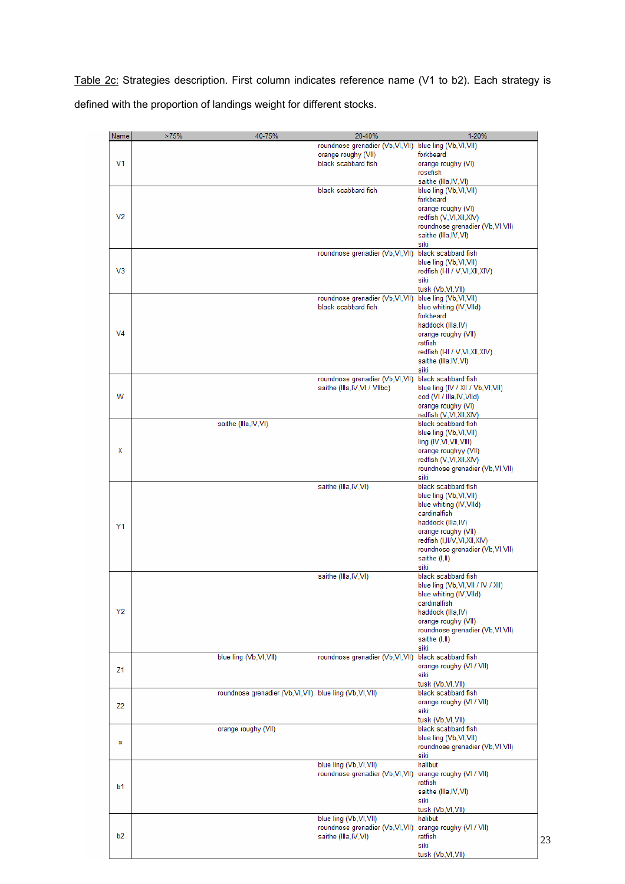Table 2c: Strategies description. First column indicates reference name (V1 to b2). Each strategy is defined with the proportion of landings weight for different stocks.

| Name           | >75% | 40-75%                                                    | 20-40%                                                | 1-20%                              |
|----------------|------|-----------------------------------------------------------|-------------------------------------------------------|------------------------------------|
|                |      |                                                           | roundnose grenadier (Vb,Vl,Vll) blue ling (Vb,Vl,Vll) |                                    |
| V <sub>1</sub> |      |                                                           | orange roughy (VII)                                   | forkbeard                          |
|                |      |                                                           | black scabbard fish                                   | orange roughy (VI)                 |
|                |      |                                                           |                                                       | rosefish                           |
|                |      |                                                           |                                                       | saithe (Illa, IV, VI)              |
|                |      |                                                           | black scabbard fish                                   | blue ling (Vb, VI, VII)            |
|                |      |                                                           |                                                       | forkbeard                          |
|                |      |                                                           |                                                       | orange roughy (VI)                 |
| V <sub>2</sub> |      |                                                           |                                                       | redfish (V,VI,XII,XIV)             |
|                |      |                                                           |                                                       | roundnose grenadier (Vb, VI, VII)  |
|                |      |                                                           |                                                       | saithe (Illa, IV, VI)              |
|                |      |                                                           |                                                       | siki                               |
|                |      |                                                           | roundnose grenadier (Vb, VI, VII) black scabbard fish |                                    |
|                |      |                                                           |                                                       | blue ling (Vb, VI, VII)            |
| V <sub>3</sub> |      |                                                           |                                                       | redfish (I-II / V,VI,XII,XIV)      |
|                |      |                                                           |                                                       | siki                               |
|                |      |                                                           |                                                       | tusk (Vb, VI, VII)                 |
|                |      |                                                           | roundnose grenadier (Vb, VI, VII)                     | blue ling (Vb, VI, VII)            |
|                |      |                                                           | black scabbard fish                                   | blue whiting (IV, VIId)            |
|                |      |                                                           |                                                       | forkbeard                          |
|                |      |                                                           |                                                       | haddock (Illa, IV)                 |
| V <sub>4</sub> |      |                                                           |                                                       | orange roughy (VII)                |
|                |      |                                                           |                                                       | ratfish                            |
|                |      |                                                           |                                                       | redfish (I-II / V, VI, XII, XIV)   |
|                |      |                                                           |                                                       | saithe (Illa, IV, VI)              |
|                |      |                                                           |                                                       | siki                               |
|                |      |                                                           | roundnose grenadier (Vb, VI, VII)                     | black scabbard fish                |
|                |      |                                                           | saithe (Illa, IV, VI / VIIbc)                         | blue ling (IV / XII / Vb, VI, VII) |
| w              |      |                                                           |                                                       | cod (VI / Illa, IV, VIId)          |
|                |      |                                                           |                                                       | orange roughy (VI)                 |
|                |      |                                                           |                                                       | redfish (V,VI,XII,XIV)             |
|                |      | saithe (Illa, IV, VI)                                     |                                                       | black scabbard fish                |
|                |      |                                                           |                                                       | blue ling (Vb, VI, VII)            |
|                |      |                                                           |                                                       | ling (IV, VI, VII, VIII)           |
| Χ              |      |                                                           |                                                       | orange roughyy (VII)               |
|                |      |                                                           |                                                       | redfish (V,VI,XII,XIV)             |
|                |      |                                                           |                                                       | roundnose grenadier (Vb, VI, VII)  |
|                |      |                                                           |                                                       | siki                               |
|                |      |                                                           | saithe (Illa, IV, VI)                                 | black scabbard fish                |
|                |      |                                                           |                                                       | blue ling (Vb, VI, VII)            |
|                |      |                                                           |                                                       | blue whiting (IV, VIId)            |
|                |      |                                                           |                                                       | cardinalfish                       |
| Y1             |      |                                                           |                                                       | haddock (Illa, IV)                 |
|                |      |                                                           |                                                       | orange roughy (VII)                |
|                |      |                                                           |                                                       | redfish (I,II/V,VI,XII,XIV)        |
|                |      |                                                           |                                                       | roundnose grenadier (Vb, VI, VII)  |
|                |      |                                                           |                                                       | saithe (I,II)                      |
|                |      |                                                           |                                                       | siki                               |
|                |      |                                                           | saithe (Illa, IV, VI)                                 | black scabbard fish                |
|                |      |                                                           |                                                       | blue ling (Vb, VI, VII / IV / XII) |
|                |      |                                                           |                                                       | blue whiting (IV, VIId)            |
|                |      |                                                           |                                                       | cardinalfish                       |
| Y2             |      |                                                           |                                                       | haddock (Illa, IV)                 |
|                |      |                                                           |                                                       | orange roughy (VII)                |
|                |      |                                                           |                                                       | roundnose grenadier (Vb, VI, VII)  |
|                |      |                                                           |                                                       | saithe (I,II)                      |
|                |      | blue ling (Vb, VI, VII)                                   | roundnose grenadier (Vb, VI, VII)                     | siki<br>black scabbard fish        |
|                |      |                                                           |                                                       | orange roughy (VI / VII)           |
| Z1             |      |                                                           |                                                       | siki                               |
|                |      |                                                           |                                                       | tusk (Vb, VI, VII)                 |
|                |      | roundnose grenadier (Vb, Vl, Vll) blue ling (Vb, Vl, Vll) |                                                       | black scabbard fish                |
|                |      |                                                           |                                                       | orange roughy (VI / VII)           |
| Z <sub>2</sub> |      |                                                           |                                                       | siki                               |
|                |      |                                                           |                                                       | tusk (Vb, VI, VII)                 |
|                |      | orange roughy (VII)                                       |                                                       | black scabbard fish                |
|                |      |                                                           |                                                       | blue ling (Vb, VI, VII)            |
| а              |      |                                                           |                                                       | roundnose grenadier (Vb, VI, VII)  |
|                |      |                                                           |                                                       | siki                               |
|                |      |                                                           | blue ling (Vb, VI, VII)                               | halibut                            |
|                |      |                                                           | roundnose grenadier (Vb, VI, VII)                     | orange roughy (VI / VII)           |
|                |      |                                                           |                                                       | ratfish                            |
| b1             |      |                                                           |                                                       | saithe (Illa, IV, VI)              |
|                |      |                                                           |                                                       | siki                               |
|                |      |                                                           |                                                       | tusk (Vb, VI, VII)                 |
|                |      |                                                           | blue ling (Vb, VI, VII)                               | halibut                            |
|                |      |                                                           | roundnose grenadier (Vb, VI, VII)                     | orange roughy (VI / VII)           |
| b2             |      |                                                           | saithe (Illa, IV, VI)                                 | ratfish                            |
|                |      |                                                           |                                                       | siki                               |
|                |      |                                                           |                                                       | tusk (Vb.VI.VII)                   |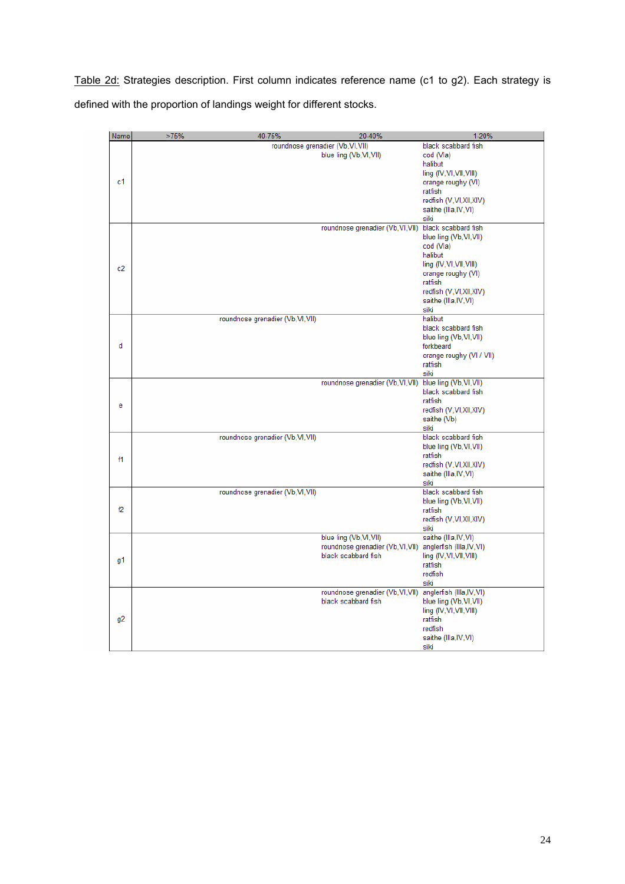Table 2d: Strategies description. First column indicates reference name (c1 to g2). Each strategy is defined with the proportion of landings weight for different stocks.

| Name           | >75% | 40-75%                            | 20-40%                                                                              | 1-20%                                                                                                                                                                   |
|----------------|------|-----------------------------------|-------------------------------------------------------------------------------------|-------------------------------------------------------------------------------------------------------------------------------------------------------------------------|
| c1             |      |                                   | roundnose grenadier (Vb, VI, VII)<br>blue ling (Vb, VI, VII)                        | black scabbard fish<br>cod (Vla)<br>halibut<br>ling (IV, VI, VII, VIII)<br>orange roughy (VI)<br>ratfish<br>redfish (V,VI,XII,XIV)<br>saithe (Illa, IV, VI)<br>siki     |
| c2             |      |                                   | roundnose grenadier (Vb, VI, VII) black scabbard fish                               | blue ling (Vb, VI, VII)<br>cod (Vla)<br>halibut<br>ling (IV, VI, VII, VIII)<br>orange roughy (VI)<br>ratfish<br>redfish (V,VI,XII,XIV)<br>saithe (Illa, IV, VI)<br>siki |
| d              |      | roundnose grenadier (Vb, VI, VII) |                                                                                     | halibut<br>black scabbard fish<br>blue ling (Vb, VI, VII)<br>forkbeard<br>orange roughy (VI / VII)<br>ratfish<br>siki                                                   |
| e              |      |                                   | roundnose grenadier (Vb,VI,VII) blue ling (Vb,VI,VII)                               | black scabbard fish<br>ratfish<br>redfish (V,VI,XII,XIV)<br>saithe (Vb)<br>siki                                                                                         |
| f1             |      | roundnose grenadier (Vb, VI, VII) |                                                                                     | black scabbard fish<br>blue ling (Vb, VI, VII)<br>ratfish<br>redfish (V,VI,XII,XIV)<br>saithe (Illa, IV, VI)<br>siki                                                    |
| f2             |      | roundnose grenadier (Vb, VI, VII) |                                                                                     | black scabbard fish<br>blue ling (Vb, VI, VII)<br>ratfish<br>redfish (V,VI,XII,XIV)<br>siki                                                                             |
| g1             |      |                                   | blue ling (Vb, VI, VII)<br>roundnose grenadier (Vb, VI, VII)<br>black scabbard fish | saithe (Illa, IV, VI)<br>anglerfish (Illa, IV, VI)<br>ling (IV, VI, VII, VIII)<br>ratfish<br>redfish<br>siki                                                            |
| g <sub>2</sub> |      |                                   | roundnose grenadier (Vb, VI, VII) anglerfish (IIIa, IV, VI)<br>black scabbard fish  | blue ling (Vb, VI, VII)<br>ling (IV, VI, VII, VIII)<br>ratfish<br>redfish<br>saithe (Illa, IV, VI)<br>siki                                                              |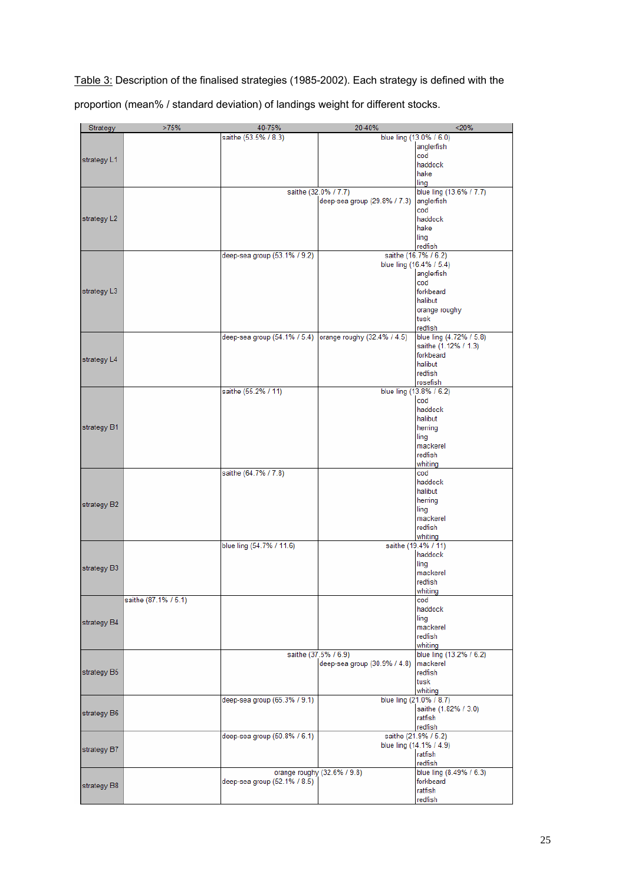Table 3: Description of the finalised strategies (1985-2002). Each strategy is defined with the

proportion (mean% / standard deviation) of landings weight for different stocks.

| Strategy    | >75%                 | 40-75%                       | 20-40%                       | < 20%                                           |
|-------------|----------------------|------------------------------|------------------------------|-------------------------------------------------|
|             |                      | saithe (53.5% / 8.3)         |                              | blue ling (13.0% / 6.0)                         |
| strategy L1 |                      |                              |                              | anglerfish                                      |
|             |                      |                              |                              | cod                                             |
|             |                      |                              |                              | haddock                                         |
|             |                      |                              |                              | hake<br>ling                                    |
|             |                      |                              | saithe (32.0% / 7.7)         | blue ling (13.6% / 7.7)                         |
|             |                      |                              | deep-sea group (29.8% / 7.3) | anglerfish                                      |
|             |                      |                              |                              | cod                                             |
| strategy L2 |                      |                              |                              | haddock                                         |
|             |                      |                              |                              | hake                                            |
|             |                      |                              |                              | ling                                            |
|             |                      |                              |                              | redfish                                         |
|             |                      | deep-sea group (53.1% / 9.2) |                              | saithe (16.7% / 6.2)<br>blue ling (16.4% / 5.4) |
|             |                      |                              |                              | anglerfish                                      |
|             |                      |                              |                              | cod                                             |
| strategy L3 |                      |                              |                              | forkbeard                                       |
|             |                      |                              |                              | halibut                                         |
|             |                      |                              |                              | orange roughy                                   |
|             |                      |                              |                              | tusk                                            |
|             |                      | deep-sea group (54.1% / 5.4) | orange roughy (32.4% / 4.5)  | redfish<br>blue ling (4.72% / 5.8)              |
|             |                      |                              |                              | saithe (1.12% / 1.3)                            |
|             |                      |                              |                              | forkbeard                                       |
| strategy L4 |                      |                              |                              | halibut                                         |
|             |                      |                              |                              | redfish                                         |
|             |                      |                              |                              | rosefish                                        |
|             |                      | saithe (55.2% / 11)          |                              | blue ling (13.8% / 6.2)                         |
|             |                      |                              |                              | cod<br>haddock                                  |
|             |                      |                              |                              | halibut                                         |
| strategy B1 |                      |                              |                              | herring                                         |
|             |                      |                              |                              | ling                                            |
|             |                      |                              |                              | mackerel                                        |
|             |                      |                              |                              | redfish                                         |
|             |                      |                              |                              | whiting                                         |
|             |                      | saithe (64.7% / 7.8)         |                              | cod<br>haddock                                  |
|             |                      |                              |                              | halibut                                         |
|             |                      |                              |                              | herring                                         |
| strategy B2 |                      |                              |                              | ling                                            |
|             |                      |                              |                              | mackerel                                        |
|             |                      |                              |                              | redfish                                         |
|             |                      |                              |                              | whiting                                         |
|             |                      | blue ling (54.7% / 11.6)     |                              | saithe (19.4% / 11)<br>haddock                  |
|             |                      |                              |                              | ling                                            |
| strategy B3 |                      |                              |                              | mackerel                                        |
|             |                      |                              |                              | redfish                                         |
|             |                      |                              |                              | whiting                                         |
|             | saithe (87.1% / 5.1) |                              |                              | cod                                             |
|             |                      |                              |                              | haddock<br>ling                                 |
| strategy B4 |                      |                              |                              | mackerel                                        |
|             |                      |                              |                              | redfish                                         |
|             |                      |                              |                              | whiting                                         |
|             |                      |                              | saithe (37.5% / 6.9)         | blue ling (13.2% / 6.2)                         |
|             |                      |                              | deep-sea group (30.9% / 4.8) | mackerel                                        |
| strategy B5 |                      |                              |                              | redfish<br>tusk                                 |
|             |                      |                              |                              | whiting                                         |
|             |                      | deep-sea group (65.3% / 9.1) |                              | blue ling (21.0% / 8.7)                         |
| strategy B6 |                      |                              |                              | saithe (1.82% / 3.0)                            |
|             |                      |                              |                              | ratfish                                         |
|             |                      |                              |                              | redfish                                         |
| strategy B7 |                      | deep-sea group (50.8% / 6.1) |                              | saithe (21.9% / 5.2)                            |
|             |                      |                              |                              | blue ling (14.1% / 4.9)                         |
|             |                      |                              |                              | ratfish<br>redfish                              |
|             |                      | orange roughy (32.6% / 9.8)  |                              | blue ling (8.49% / 6.3)                         |
| strategy B8 |                      | deep-sea group (52.1% / 8.5) |                              | forkbeard                                       |
|             |                      |                              |                              | ratfish                                         |
|             |                      |                              |                              | redfish                                         |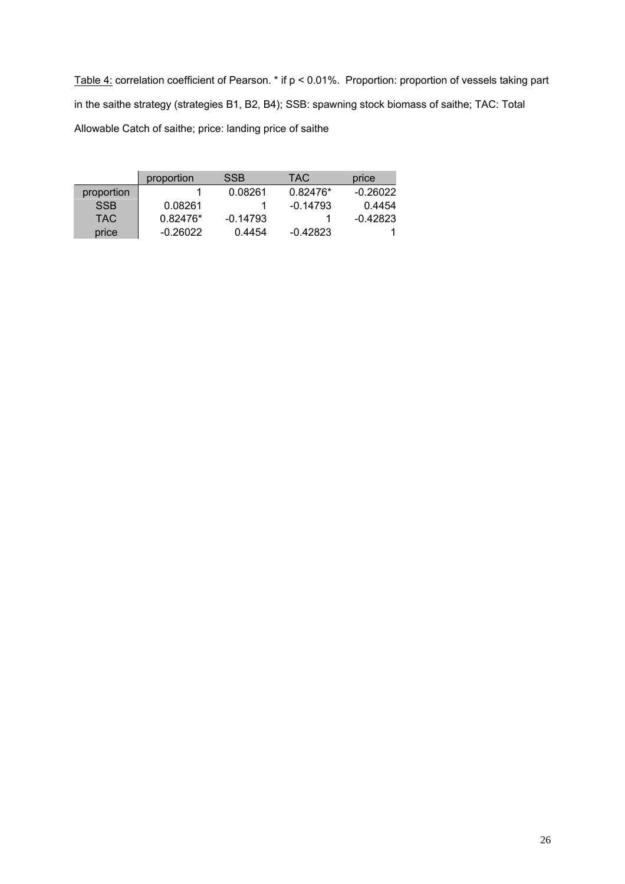Table 4: correlation coefficient of Pearson. \* if p < 0.01%. Proportion: proportion of vessels taking part in the saithe strategy (strategies B1, B2, B4); SSB: spawning stock biomass of saithe; TAC: Total Allowable Catch of saithe; price: landing price of saithe

|            | proportion | <b>SSB</b> | TAC.       | price    |
|------------|------------|------------|------------|----------|
| proportion |            | 0.08261    | 0.82476*   | -0.26022 |
| <b>SSB</b> | 0.08261    |            | $-0.14793$ | 0.4454   |
| TAC.       | $0.82476*$ | $-0.14793$ |            | -0.42823 |
| price      | -0.26022   | 0.4454     | $-0.42823$ |          |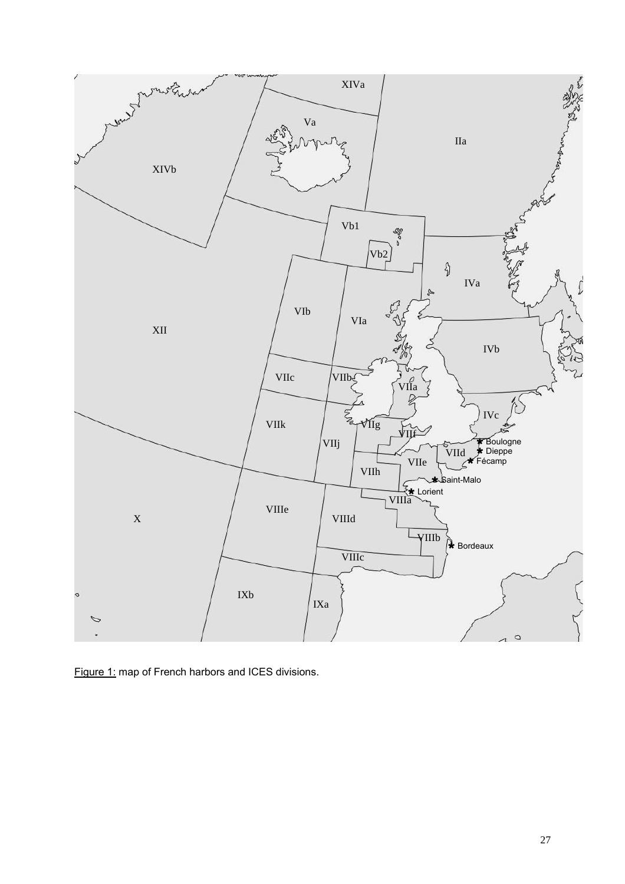

Figure 1: map of French harbors and ICES divisions.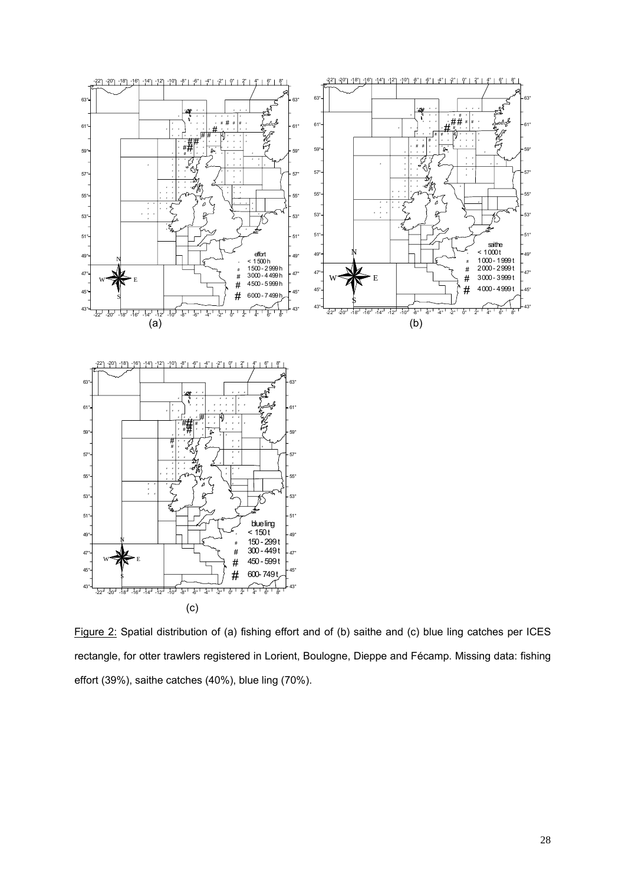

Figure 2: Spatial distribution of (a) fishing effort and of (b) saithe and (c) blue ling catches per ICES rectangle, for otter trawlers registered in Lorient, Boulogne, Dieppe and Fécamp. Missing data: fishing effort (39%), saithe catches (40%), blue ling (70%).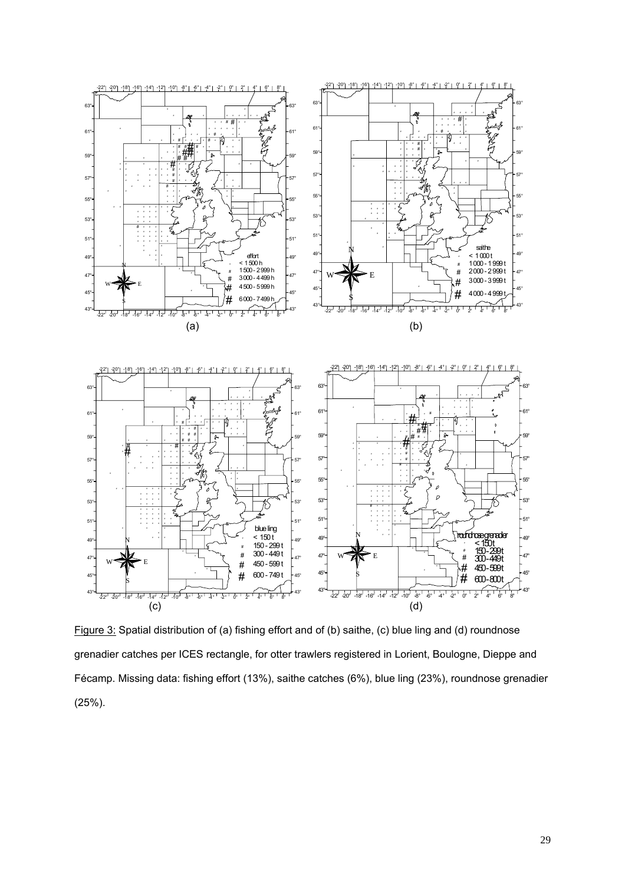

Figure 3: Spatial distribution of (a) fishing effort and of (b) saithe, (c) blue ling and (d) roundnose grenadier catches per ICES rectangle, for otter trawlers registered in Lorient, Boulogne, Dieppe and Fécamp. Missing data: fishing effort (13%), saithe catches (6%), blue ling (23%), roundnose grenadier (25%).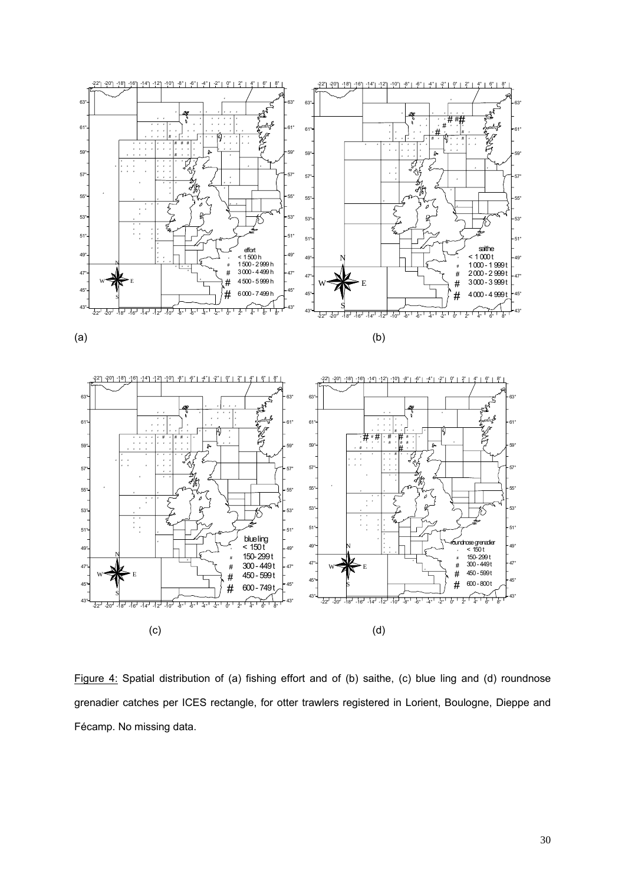

Figure 4: Spatial distribution of (a) fishing effort and of (b) saithe, (c) blue ling and (d) roundnose grenadier catches per ICES rectangle, for otter trawlers registered in Lorient, Boulogne, Dieppe and Fécamp. No missing data.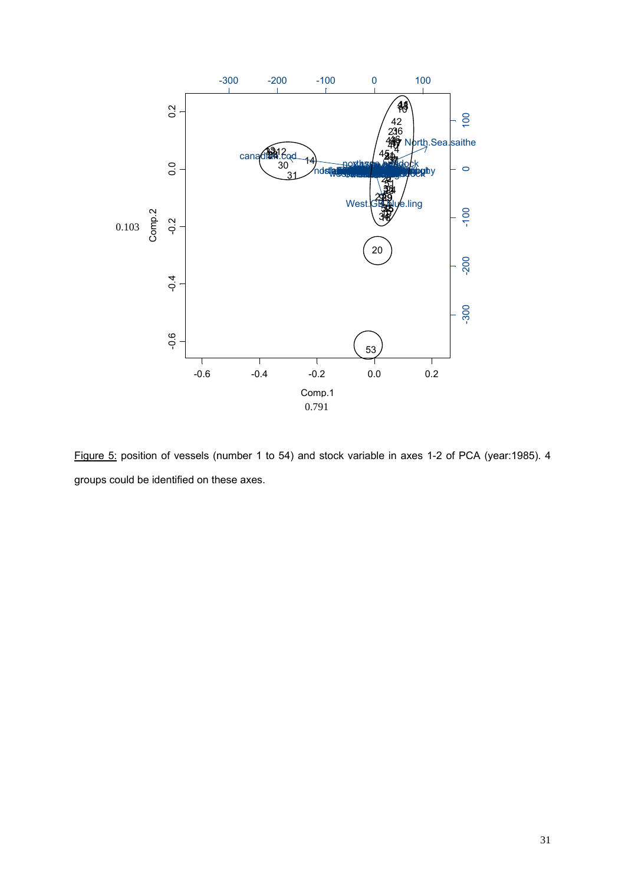

Figure 5: position of vessels (number 1 to 54) and stock variable in axes 1-2 of PCA (year:1985). 4 groups could be identified on these axes.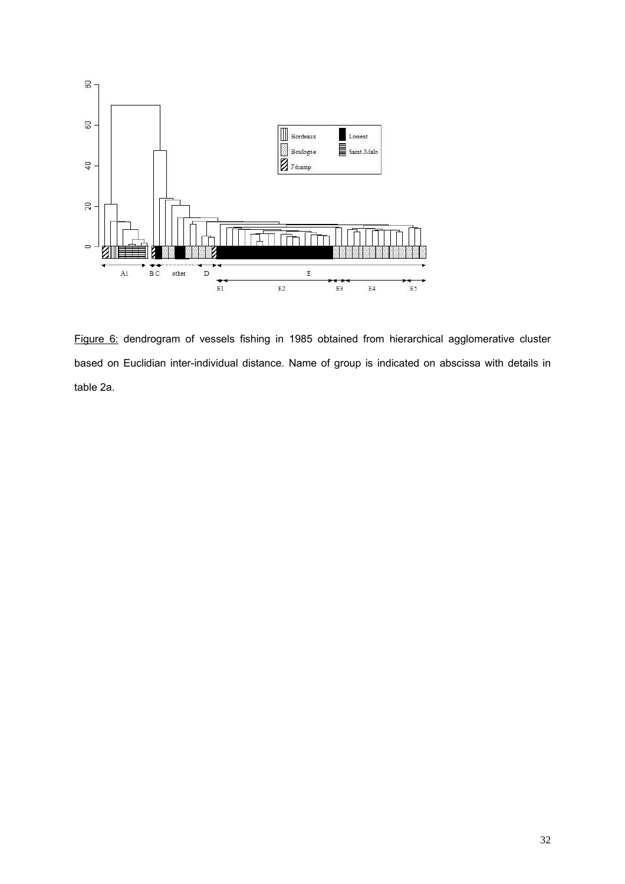

Figure 6: dendrogram of vessels fishing in 1985 obtained from hierarchical agglomerative cluster based on Euclidian inter-individual distance. Name of group is indicated on abscissa with details in table 2a.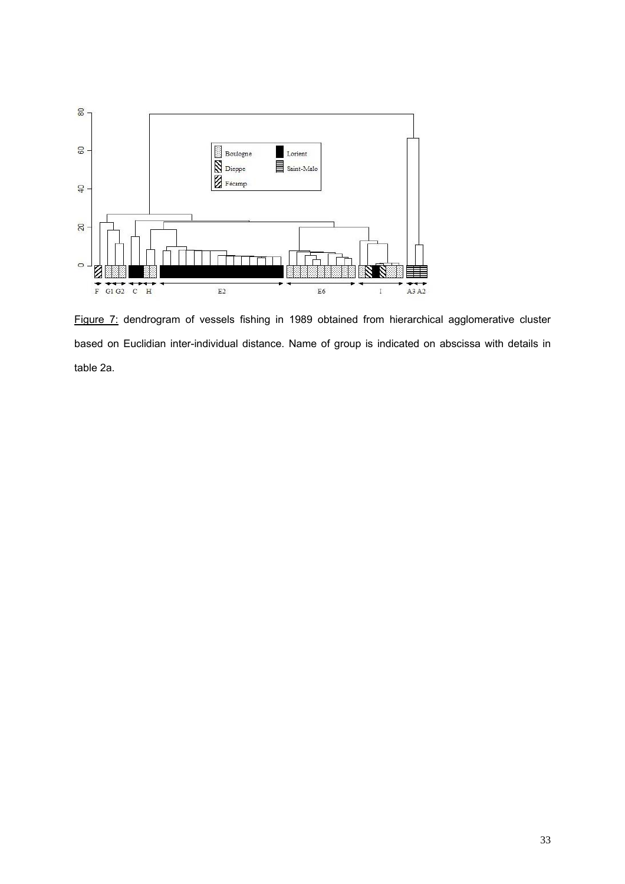

Figure 7: dendrogram of vessels fishing in 1989 obtained from hierarchical agglomerative cluster based on Euclidian inter-individual distance. Name of group is indicated on abscissa with details in table 2a.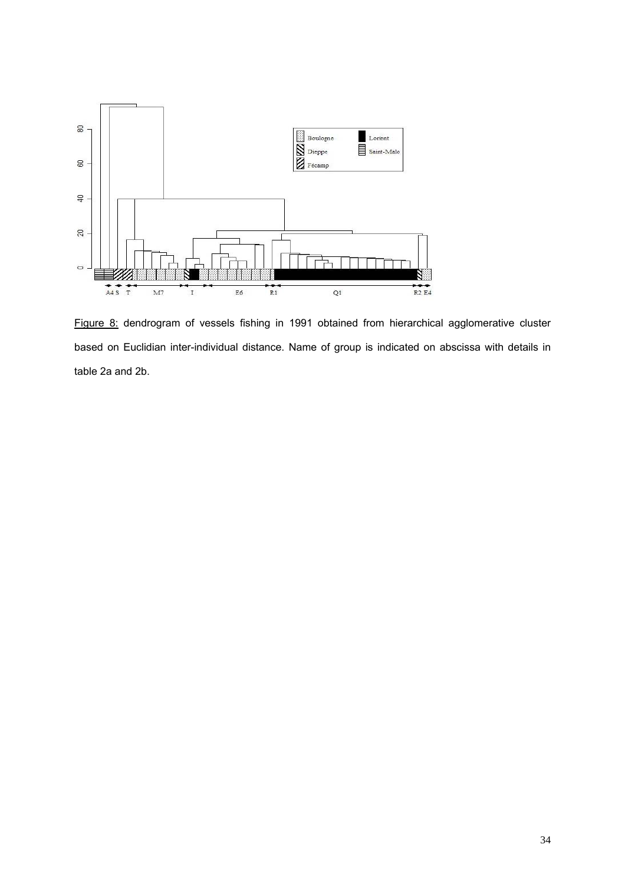

Figure 8: dendrogram of vessels fishing in 1991 obtained from hierarchical agglomerative cluster based on Euclidian inter-individual distance. Name of group is indicated on abscissa with details in table 2a and 2b.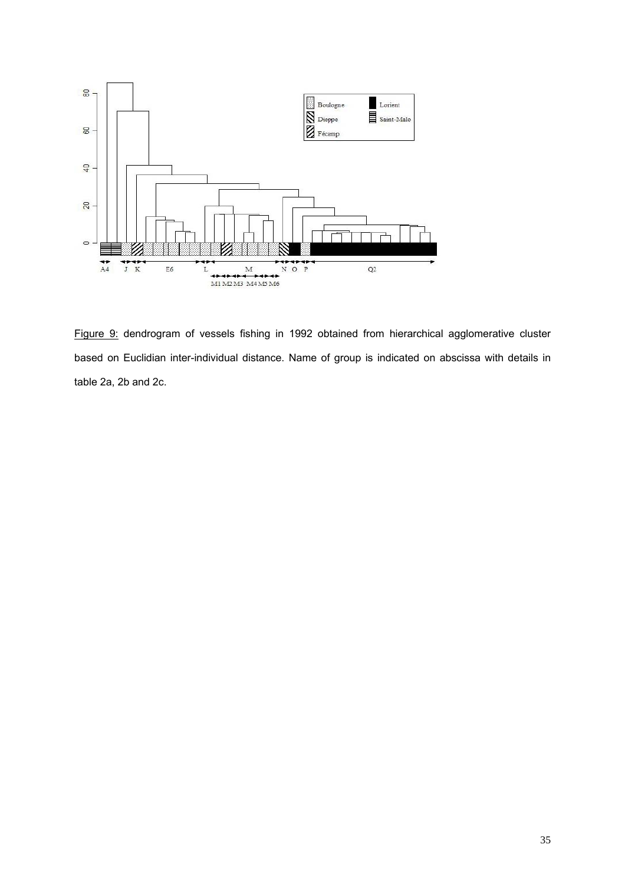

Figure 9: dendrogram of vessels fishing in 1992 obtained from hierarchical agglomerative cluster based on Euclidian inter-individual distance. Name of group is indicated on abscissa with details in table 2a, 2b and 2c.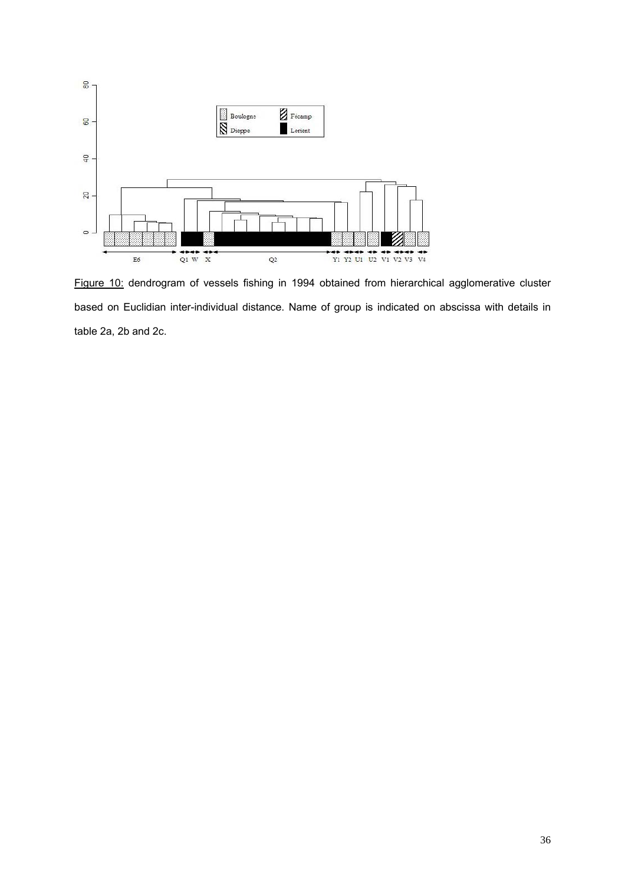

Figure 10: dendrogram of vessels fishing in 1994 obtained from hierarchical agglomerative cluster based on Euclidian inter-individual distance. Name of group is indicated on abscissa with details in table 2a, 2b and 2c.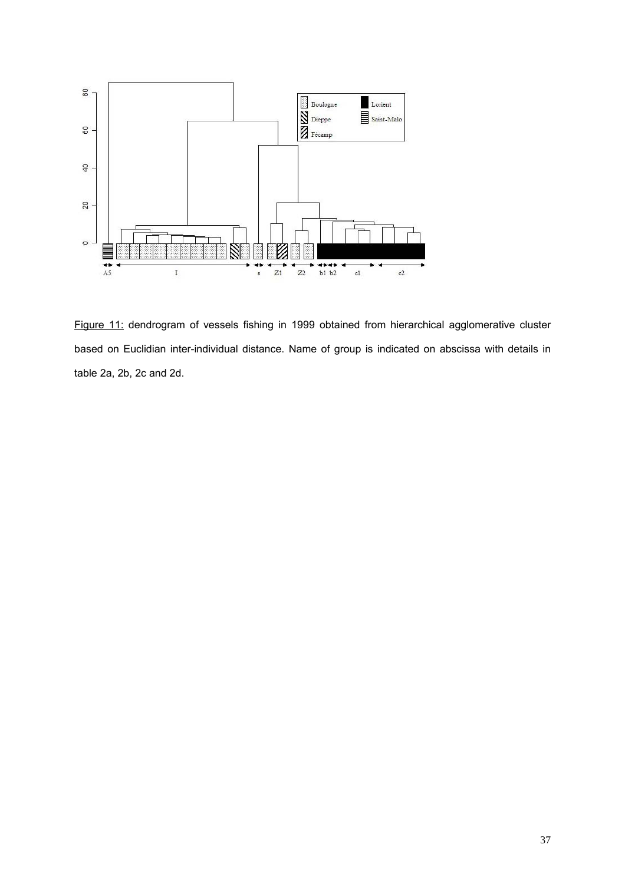

Figure 11: dendrogram of vessels fishing in 1999 obtained from hierarchical agglomerative cluster based on Euclidian inter-individual distance. Name of group is indicated on abscissa with details in table 2a, 2b, 2c and 2d.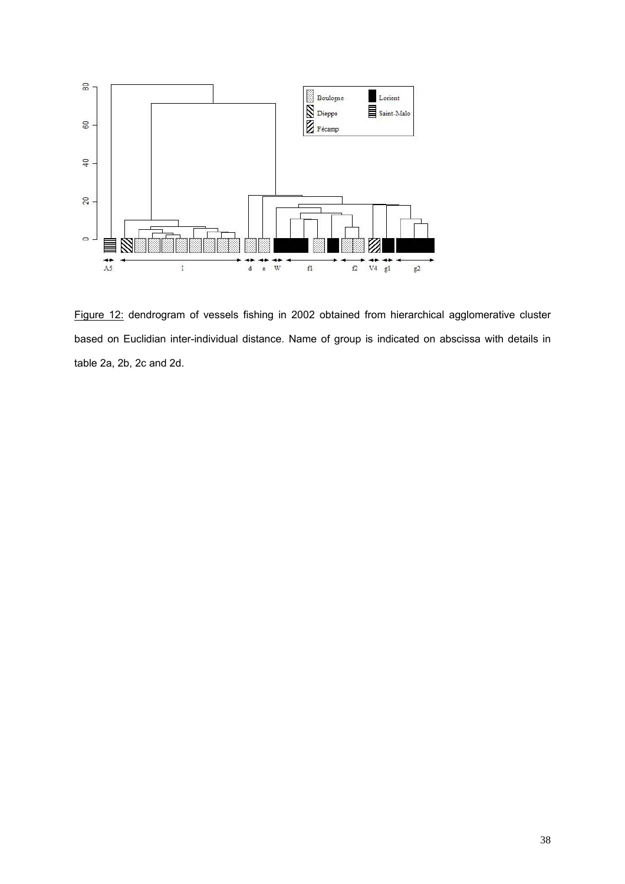

Figure 12: dendrogram of vessels fishing in 2002 obtained from hierarchical agglomerative cluster based on Euclidian inter-individual distance. Name of group is indicated on abscissa with details in table 2a, 2b, 2c and 2d.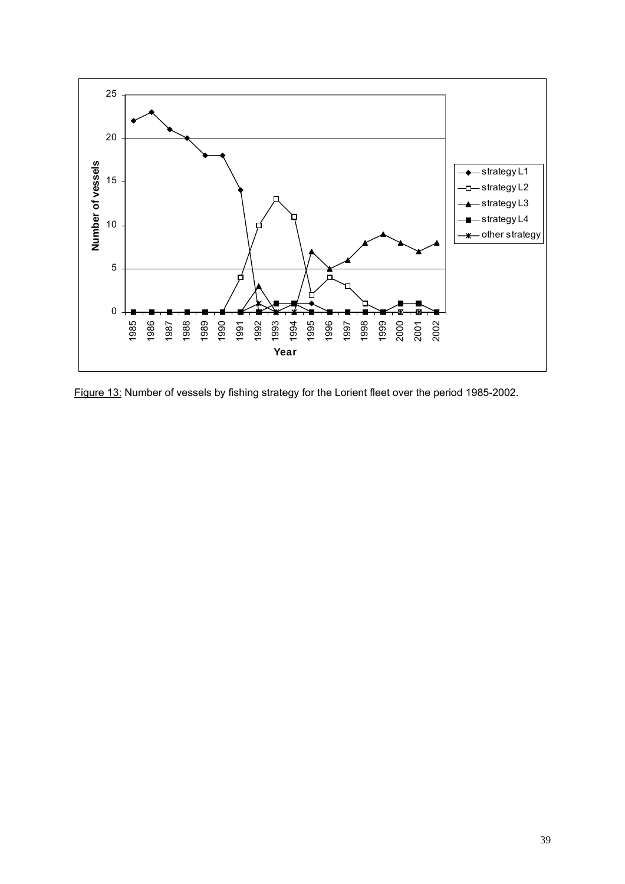

Figure 13: Number of vessels by fishing strategy for the Lorient fleet over the period 1985-2002.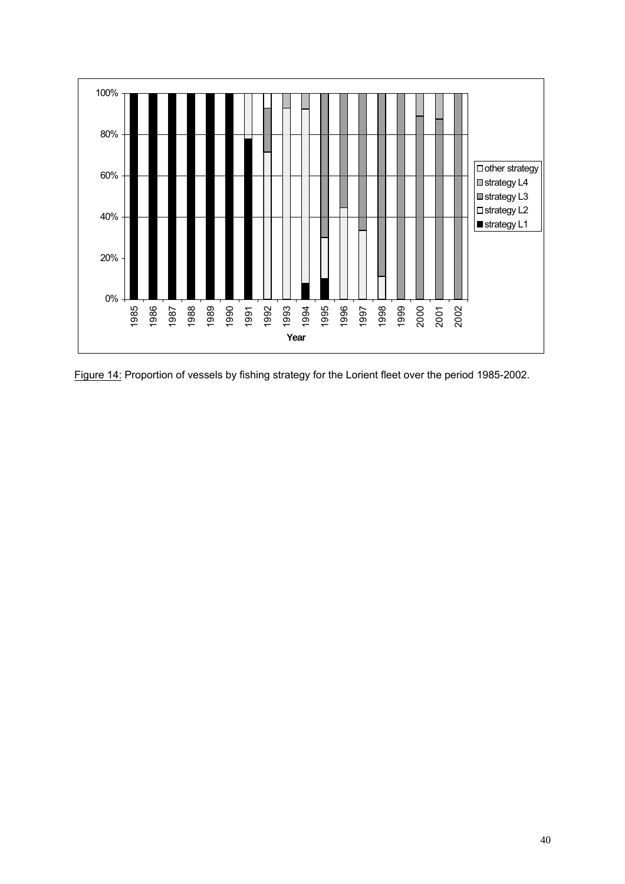

Figure 14: Proportion of vessels by fishing strategy for the Lorient fleet over the period 1985-2002.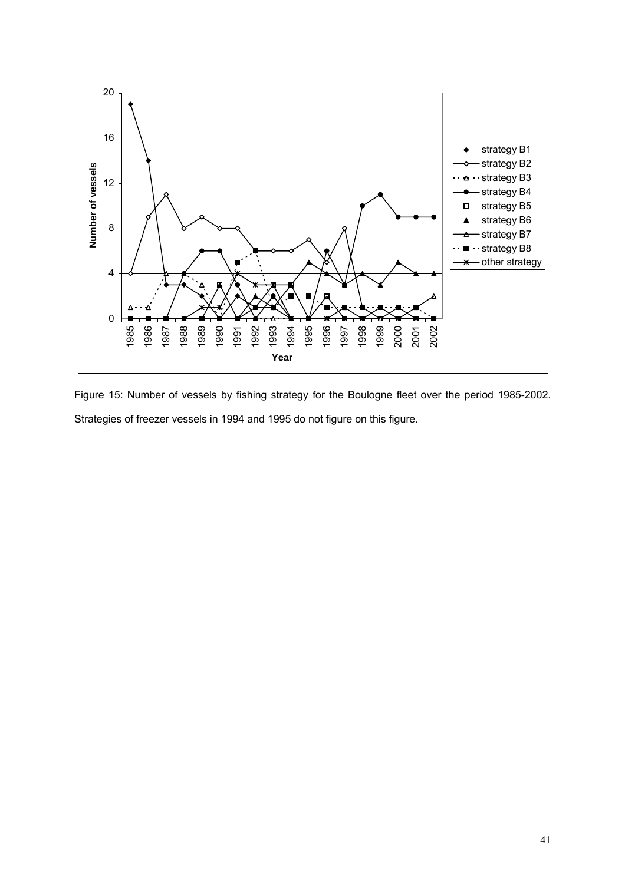

Figure 15: Number of vessels by fishing strategy for the Boulogne fleet over the period 1985-2002. Strategies of freezer vessels in 1994 and 1995 do not figure on this figure.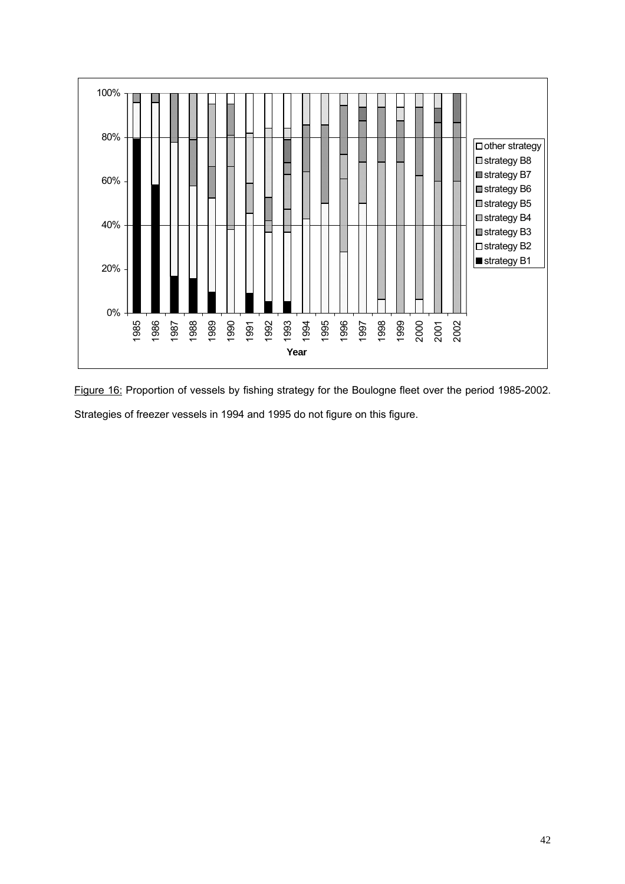

Figure 16: Proportion of vessels by fishing strategy for the Boulogne fleet over the period 1985-2002. Strategies of freezer vessels in 1994 and 1995 do not figure on this figure.